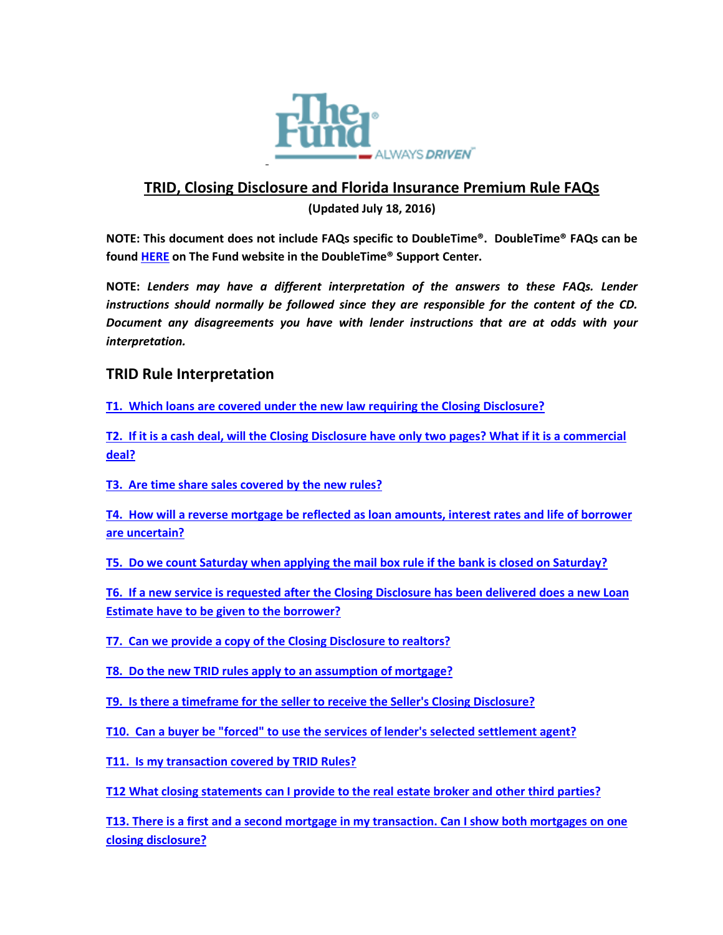

# **TRID, Closing Disclosure and Florida Insurance Premium Rule FAQs**

**(Updated July 18, 2016)**

**NOTE: This document does not include FAQs specific to DoubleTime®. DoubleTime® FAQs can be foun[d HERE](https://www.thefund.com/Public/DoubleTime/FAQ.aspx) on The Fund website in the DoubleTime® Support Center.**

**NOTE:** *Lenders may have a different interpretation of the answers to these FAQs. Lender instructions should normally be followed since they are responsible for the content of the CD. Document any disagreements you have with lender instructions that are at odds with your interpretation.*

# **TRID Rule Interpretation**

**[T1. Which loans are covered under the new law requiring the Closing Disclosure?](#page-4-0)** 

**[T2. If it is a cash deal, will the Closing Disclosure have only two pages? What if it is a commercial](#page-4-1)  [deal?](#page-4-1)**

**T3. Are [time share sales covered by the new rules?](#page-5-0)** 

**[T4. How will a reverse mortgage be reflected as loan amounts, interest rates and life of borrower](#page-5-1)  [are uncertain?](#page-5-1)** 

**T5. Do we count Saturday when applying [the mail box rule if the bank is closed on Saturday?](#page-5-2)** 

**[T6. If a new service is requested after the Closing Disclosure has been delivered does a new Loan](#page-5-2)  [Estimate have to be given to the borrower?](#page-5-2)** 

**[T7. Can we provide a copy of the Closing Disclosure to realtors?](#page-5-3)** 

**[T8. Do the new TRID rules apply to an assumption of mortgage?](#page-6-0)** 

**[T9. Is there a timeframe for the seller to receive the Seller's Closing Disclosure?](#page-6-1)** 

**[T10. Can a buyer be "forced" to use the services of lender's selected settlement agent?](#page-6-2)** 

**[T11. Is my transaction covered by TRID Rules?](#page-6-3)**

**[T12 What closing statements can I provide to the real estate broker and other third parties?](#page-6-4)**

**[T13. There is a first and a second mortgage in my transaction. Can I show both mortgages on one](#page-7-0)  [closing disclosure?](#page-7-0)**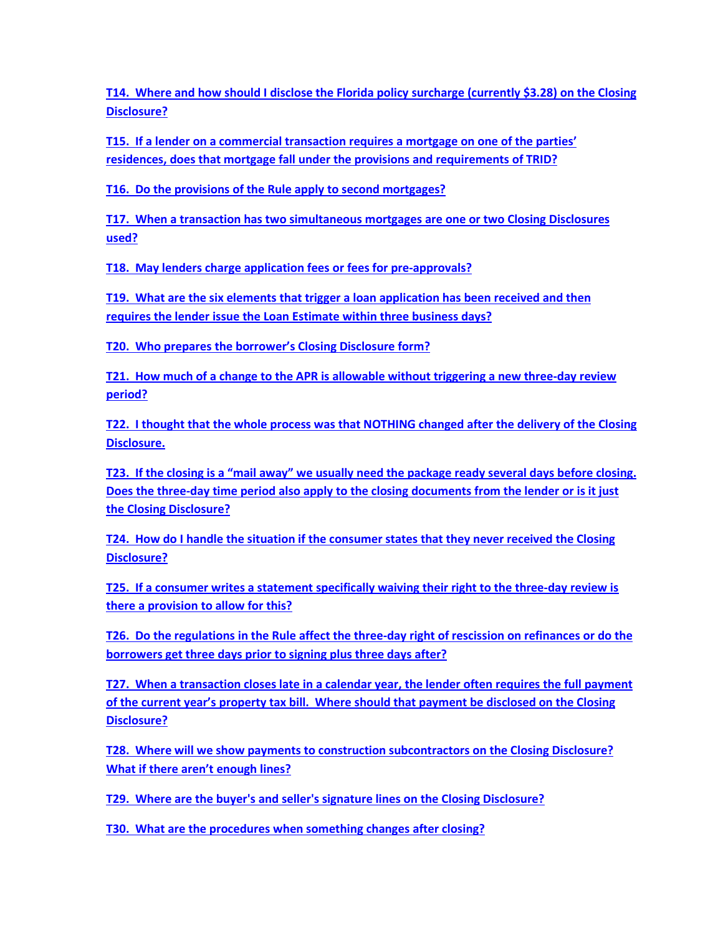**[T14. Where and how should I disclose the Florida policy surcharge \(currently \\$3.28\) on the Closing](#page-7-1)  [Disclosure?](#page-7-1)**

**[T15. If a lender on a commercial transaction requires a mortgage on one of the parties'](#page-8-0)  residences, does that mortgage fall [under the provisions and requirements of TRID?](#page-8-0)** 

**[T16. Do the provisions of the Rule apply to second mortgages?](#page-8-1)**

**[T17. When a transaction has two simultaneous mortgages are one or two Closing Disclosures](#page-8-2)  [used?](#page-8-2)**

**[T18. May lenders charge application fees or fees for pre-approvals?](#page-8-3)** 

**[T19. What are the six elements that trigger a loan application has been received and then](#page-8-4)  [requires the lender issue the Loan Estimate within](#page-8-4) three business days?**

**[T20. Who prepares the borrower's Closing Disclosure](#page-9-0) form?**

**[T21. How much of a change to the APR is allowable without triggering a new three-day review](#page-9-1)  [period?](#page-9-1)**

**[T22. I thought that the whole process was that NOTHING changed after the delivery of the Closing](#page-9-2)  [Disclosure.](#page-9-2)** 

**[T23. If the closing is a "mail away" we usually need the package ready several days before closing.](#page-9-3)  [Does the three-day time period also apply to the closing documents from the lender or is it just](#page-9-3)  [the Closing Disclosure?](#page-9-3)**

**[T24. How do I handle the situation if the consumer states that they never received the](#page-10-0) Closing [Disclosure?](#page-10-0)**

**[T25. If a consumer writes a statement specifically waiving their right to the three-day review is](#page-10-1)  [there a provision to allow for this?](#page-10-1)**

**[T26. Do the regulations in the Rule affect the three-day right of rescission on refinances or do the](#page-10-2)  [borrowers get three days prior to signing plus three days after?](#page-10-2)**

**[T27. When a transaction closes late in a calendar year, the lender often requires the full payment](#page-10-3)  [of the current year's property tax bill. Where should that payment be disclosed on the Closing](#page-10-3)  [Disclosure?](#page-10-3)**

**[T28. Where will we show payments to construction subcontractors on the Closing](#page-11-0) Disclosure? [What if there aren't enough lines?](#page-11-0)**

**T29. Where are the buyer's and seller's [signature lines on the Closing Disclosure?](#page-11-1)**

**[T30. What are the procedures when something changes after closing?](#page-12-0)**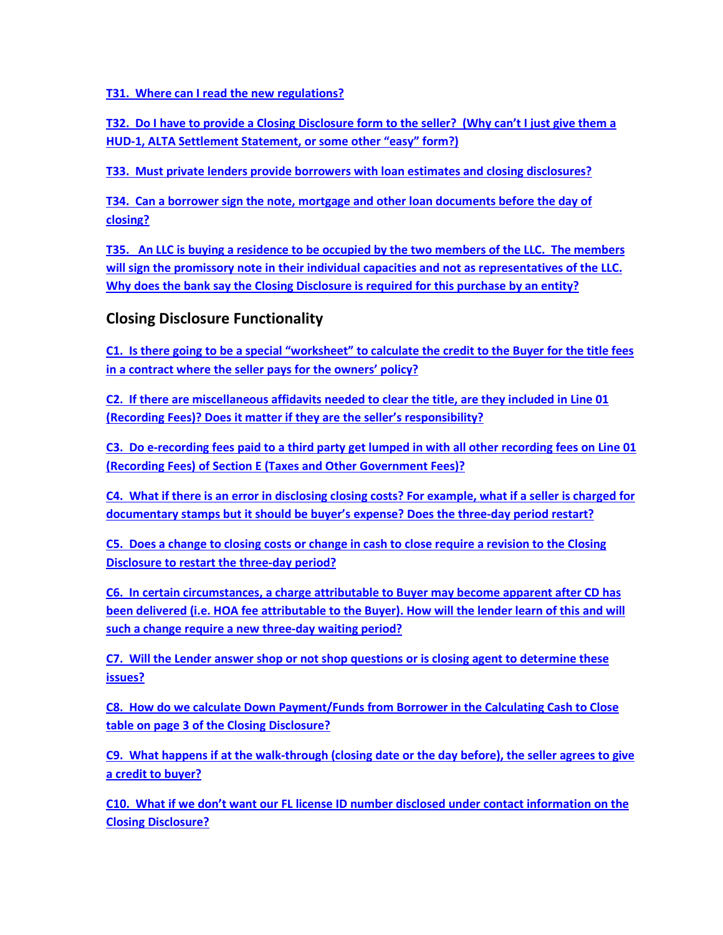**[T31. Where can I read the new regulations?](#page-12-1)**

**[T32. Do I have to provide a Closing Disclosure form to the seller? \(Why can't I just give them a](#page-12-2)  [HUD-1, ALTA Settlement Statement, or some other "easy" form?\)](#page-12-2)**

**[T33. Must private lenders provide borrowers with loan estimates and closing disclosures?](#page-13-0)**

**[T34. Can a borrower sign the note, mortgage and other loan documents before the day of](#page-13-1)  [closing?](#page-13-1)**

**[T35. An LLC is buying a residence to be occupied by the two members of the LLC. The members](#page-14-0)  [will sign the promissory note in their individual capacities and not as representatives of the LLC.](#page-14-0)  [Why does the bank say the Closing Disclosure is required for this purchase by an entity?](#page-14-0)**

# **Closing Disclosure Functionality**

**[C1. Is there going to be a special "worksheet" to calculate the credit to the Buyer for the title fees](#page-14-1)  [in a contract where the seller pays for the owners' policy?](#page-14-1)** 

**[C2. If there are miscellaneous affidavits needed to clear the title, are they included in Line 01](#page-14-2)  [\(Recording Fees\)? Does it matter if they are the seller's responsibility?](#page-14-2)** 

**[C3. Do e-recording fees paid to a third party get lumped in with all other recording fees on Line 01](#page-15-0)  (Recording [Fees\) of Section E \(Taxes and Other Government Fees\)?](#page-15-0)**

**[C4. What if there is an error in disclosing closing costs? For example, what if a seller is charged for](#page-15-1)  [documentary stamps but it should be buyer's expense? Does the three-day period restart?](#page-15-1)** 

**[C5. Does a change to closing costs or change in cash to close require a revision to the Closing](#page-15-2)  [Disclosure to restart the three-day period?](#page-15-2)** 

**C6. In certain circumstances, a charge [attributable to Buyer may become apparent after CD has](#page-15-3)  [been delivered \(i.e. HOA fee attributable to the Buyer\). How will the lender learn of this and will](#page-15-3)  [such a change require a new three-day waiting period?](#page-15-3)** 

**[C7. Will the Lender answer shop or not shop questions or is closing agent to determine these](#page-16-0)  [issues?](#page-16-0)** 

**[C8. How do we calculate Down Payment/Funds from Borrower in the Calculating Cash to Close](#page-16-1)  [table on page 3 of the Closing Disclosure?](#page-16-1)** 

**[C9. What happens if at the walk-through \(closing date or the day before\), the seller agrees to give](#page-16-2)  [a credit to buyer?](#page-16-2)**

**[C10. What if we don't want our FL license ID number disclosed under contact information on](#page-16-3) the [Closing Disclosure?](#page-16-3)**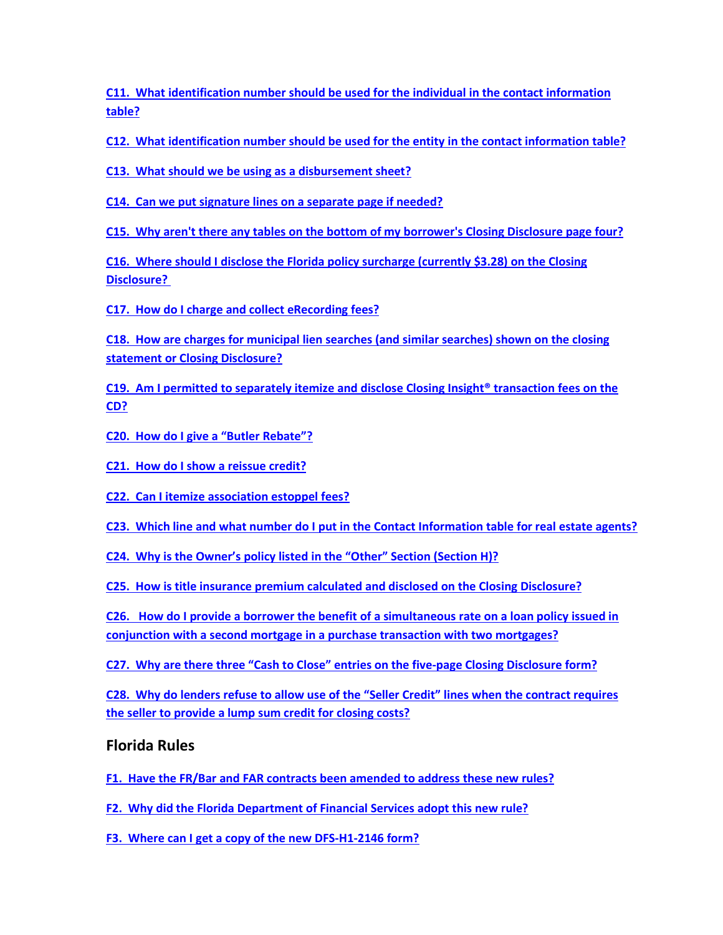**[C11. What identification number should be used for the individual in the contact information](#page-17-0)  [table?](#page-17-0)** 

**[C12. What identification number should be used for the entity in the contact information table?](#page-17-1)** 

**[C13. What should we be using as a disbursement sheet?](#page-17-2)** 

**[C14. Can we put signature lines on a separate page if needed?](#page-18-0)** 

**[C15. Why aren't there any tables on the bottom of my borrower's Closing Disclosure page four?](#page-18-1)** 

**[C16. Where should I disclose the Florida policy surcharge \(currently \\$3.28\) on the Closing](#page-18-2)  [Disclosure?](#page-18-2)** 

**[C17. How do I charge and collect eRecording fees?](#page-18-3)**

**[C18. How are charges for municipal lien searches \(and similar searches\) shown on the closing](#page-18-4)  [statement or Closing Disclosure?](#page-18-4)** 

**[C19. Am I permitted to separately itemize and disclose Closing Insight® transaction fees on the](#page-19-0)  [CD?](#page-19-0)** 

- **[C20. How do I give a "Butler Rebate"?](#page-19-1)**
- **[C21. How do I show a reissue credit?](#page-20-0)**
- **[C22. Can I itemize association estoppel fees?](#page-20-1)**
- **[C23. Which line and what number do I put in the Contact Information table for real estate agents?](#page-20-2)**
- **[C24. Why is the Owner's policy listed in the "Other" Section \(Section H\)?](#page-20-3)**

**[C25. How is title insurance premium calculated and disclosed on the Closing Disclosure?](#page-20-4)**

**[C26. How do I provide a borrower the benefit of a simultaneous rate on a loan policy issued in](#page-21-0)  [conjunction with a second mortgage in a purchase transaction with two mortgages?](#page-21-0)**

**[C27. Why are there three "Cash to Close" entries on the five-page Closing Disclosure form?](#page-21-1)**

**[C28. Why do lenders refuse to allow use of the "Seller Credit" lines when the contract requires](#page-22-0)  [the seller to provide a lump sum credit for closing costs?](#page-22-0)**

# **Florida Rules**

**[F1. Have the FR/Bar and FAR contracts been amended to address these new rules?](#page-22-1)**

**[F2. Why did the Florida Department of Financial Services adopt this new rule?](#page-22-2)** 

**[F3. Where can I get a copy of the new DFS-H1-2146 form?](#page-22-3)**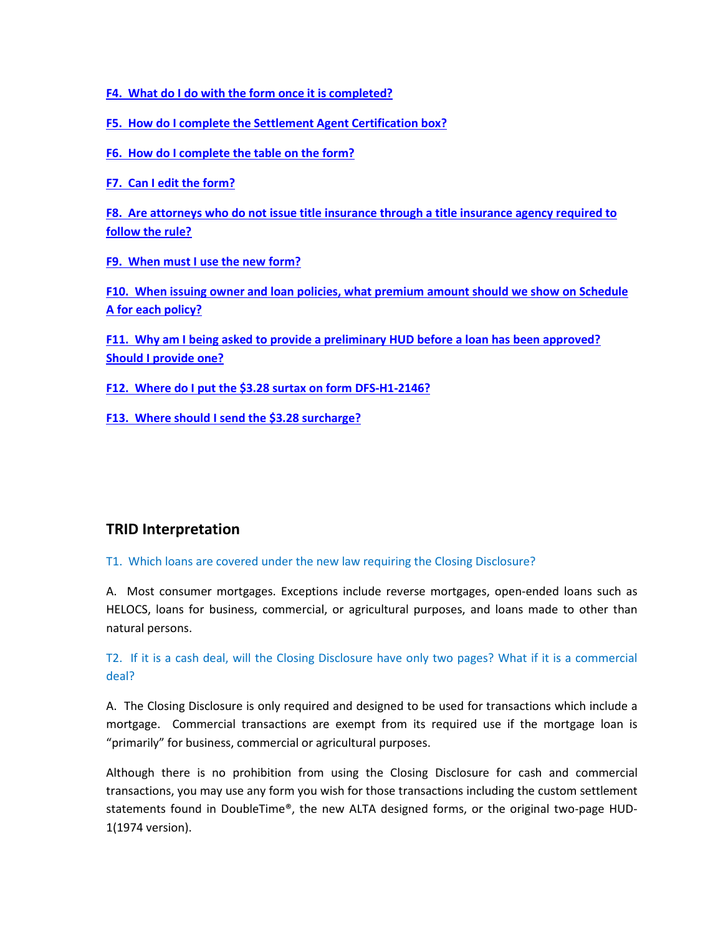**[F4. What do I do with the form once it is completed?](#page-22-4)** 

**[F5. How do I complete the Settlement Agent Certification box?](#page-23-0)** 

**[F6. How do I complete the table on the form?](#page-23-1)** 

**[F7. Can I edit the form?](#page-24-0)** 

**[F8. Are attorneys who do not issue title insurance through a title insurance agency required to](#page-24-1)  [follow the rule?](#page-24-1)** 

**[F9. When must I use the new form?](#page-24-2)** 

**[F10. When issuing owner and loan policies, what premium amount should we show on Schedule](#page-24-3)  [A for each policy?](#page-24-3)** 

**[F11. Why am I being asked to provide a preliminary HUD before a loan has been approved?](#page-24-4)  [Should I provide one?](#page-24-4)**

**[F12. Where do I put the \\$3.28 surtax on form DFS-H1-2146?](#page-25-0)** 

**[F13. Where should I send the \\$3.28 surcharge?](#page-25-1)**

# **TRID Interpretation**

<span id="page-4-0"></span>T1. Which loans are covered under the new law requiring the Closing Disclosure?

A. Most consumer mortgages. Exceptions include reverse mortgages, open-ended loans such as HELOCS, loans for business, commercial, or agricultural purposes, and loans made to other than natural persons.

<span id="page-4-1"></span>T2. If it is a cash deal, will the Closing Disclosure have only two pages? What if it is a commercial deal?

A. The Closing Disclosure is only required and designed to be used for transactions which include a mortgage. Commercial transactions are exempt from its required use if the mortgage loan is "primarily" for business, commercial or agricultural purposes.

Although there is no prohibition from using the Closing Disclosure for cash and commercial transactions, you may use any form you wish for those transactions including the custom settlement statements found in DoubleTime®, the new ALTA designed forms, or the original two-page HUD-1(1974 version).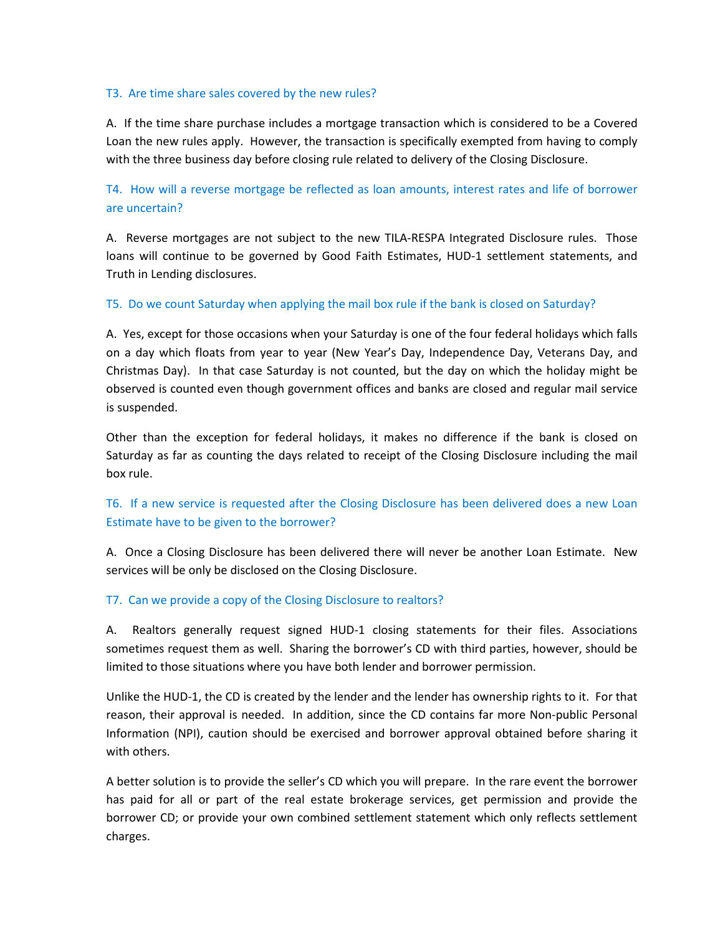#### <span id="page-5-0"></span>T3. Are time share sales covered by the new rules?

A. If the time share purchase includes a mortgage transaction which is considered to be a Covered Loan the new rules apply. However, the transaction is specifically exempted from having to comply with the three business day before closing rule related to delivery of the Closing Disclosure.

<span id="page-5-1"></span>T4. How will a reverse mortgage be reflected as loan amounts, interest rates and life of borrower are uncertain?

A. Reverse mortgages are not subject to the new TILA-RESPA Integrated Disclosure rules. Those loans will continue to be governed by Good Faith Estimates, HUD-1 settlement statements, and Truth in Lending disclosures.

### <span id="page-5-2"></span>T5. Do we count Saturday when applying the mail box rule if the bank is closed on Saturday?

A. Yes, except for those occasions when your Saturday is one of the four federal holidays which falls on a day which floats from year to year (New Year's Day, Independence Day, Veterans Day, and Christmas Day). In that case Saturday is not counted, but the day on which the holiday might be observed is counted even though government offices and banks are closed and regular mail service is suspended.

Other than the exception for federal holidays, it makes no difference if the bank is closed on Saturday as far as counting the days related to receipt of the Closing Disclosure including the mail box rule.

## T6. If a new service is requested after the Closing Disclosure has been delivered does a new Loan Estimate have to be given to the borrower?

A. Once a Closing Disclosure has been delivered there will never be another Loan Estimate. New services will be only be disclosed on the Closing Disclosure.

### <span id="page-5-3"></span>T7. Can we provide a copy of the Closing Disclosure to realtors?

A. Realtors generally request signed HUD-1 closing statements for their files. Associations sometimes request them as well. Sharing the borrower's CD with third parties, however, should be limited to those situations where you have both lender and borrower permission.

Unlike the HUD-1, the CD is created by the lender and the lender has ownership rights to it. For that reason, their approval is needed. In addition, since the CD contains far more Non-public Personal Information (NPI), caution should be exercised and borrower approval obtained before sharing it with others.

A better solution is to provide the seller's CD which you will prepare. In the rare event the borrower has paid for all or part of the real estate brokerage services, get permission and provide the borrower CD; or provide your own combined settlement statement which only reflects settlement charges.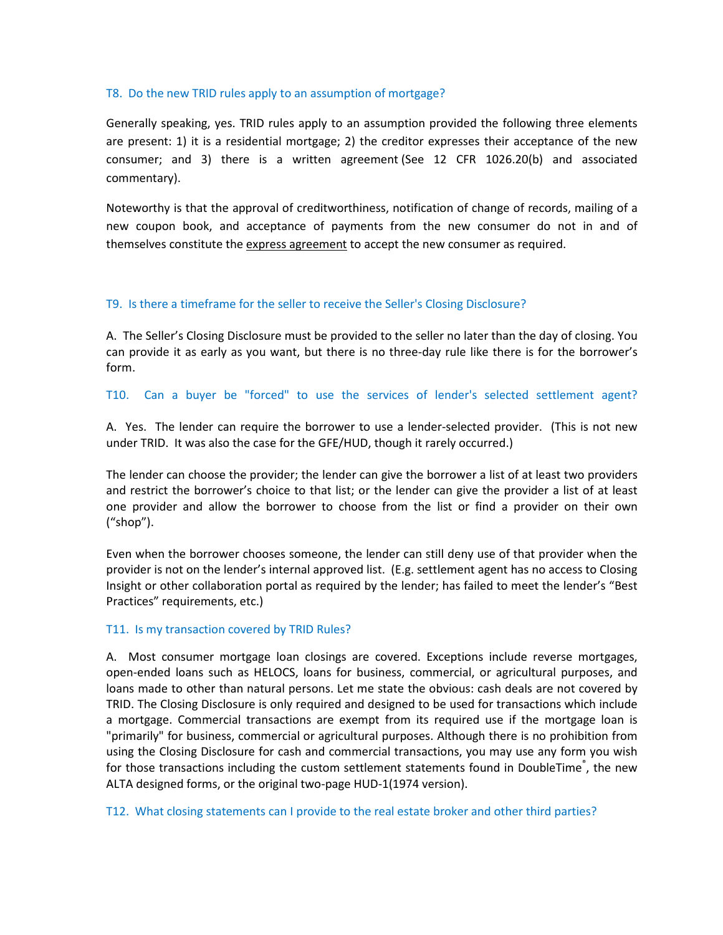#### <span id="page-6-0"></span>T8. Do the new TRID rules apply to an assumption of mortgage?

Generally speaking, yes. TRID rules apply to an assumption provided the following three elements are present: 1) it is a residential mortgage; 2) the creditor expresses their acceptance of the new consumer; and 3) there is a written agreement (See 12 CFR 1026.20(b) and associated commentary).

Noteworthy is that the approval of creditworthiness, notification of change of records, mailing of a new coupon book, and acceptance of payments from the new consumer do not in and of themselves constitute the express agreement to accept the new consumer as required.

### <span id="page-6-1"></span>T9. Is there a timeframe for the seller to receive the Seller's Closing Disclosure?

A. The Seller's Closing Disclosure must be provided to the seller no later than the day of closing. You can provide it as early as you want, but there is no three-day rule like there is for the borrower's form.

#### <span id="page-6-2"></span>T10. Can a buyer be "forced" to use the services of lender's selected settlement agent?

A. Yes. The lender can require the borrower to use a lender-selected provider. (This is not new under TRID. It was also the case for the GFE/HUD, though it rarely occurred.)

The lender can choose the provider; the lender can give the borrower a list of at least two providers and restrict the borrower's choice to that list; or the lender can give the provider a list of at least one provider and allow the borrower to choose from the list or find a provider on their own ("shop").

Even when the borrower chooses someone, the lender can still deny use of that provider when the provider is not on the lender's internal approved list. (E.g. settlement agent has no access to Closing Insight or other collaboration portal as required by the lender; has failed to meet the lender's "Best Practices" requirements, etc.)

### <span id="page-6-3"></span>T11. Is my transaction covered by TRID Rules?

A. Most consumer mortgage loan closings are covered. Exceptions include reverse mortgages, open-ended loans such as HELOCS, loans for business, commercial, or agricultural purposes, and loans made to other than natural persons. Let me state the obvious: cash deals are not covered by TRID. The Closing Disclosure is only required and designed to be used for transactions which include a mortgage. Commercial transactions are exempt from its required use if the mortgage loan is "primarily" for business, commercial or agricultural purposes. Although there is no prohibition from using the Closing Disclosure for cash and commercial transactions, you may use any form you wish for those transactions including the custom settlement statements found in DoubleTime<sup>®</sup>, the new ALTA designed forms, or the original two-page HUD-1(1974 version).

<span id="page-6-4"></span>T12. What closing statements can I provide to the real estate broker and other third parties?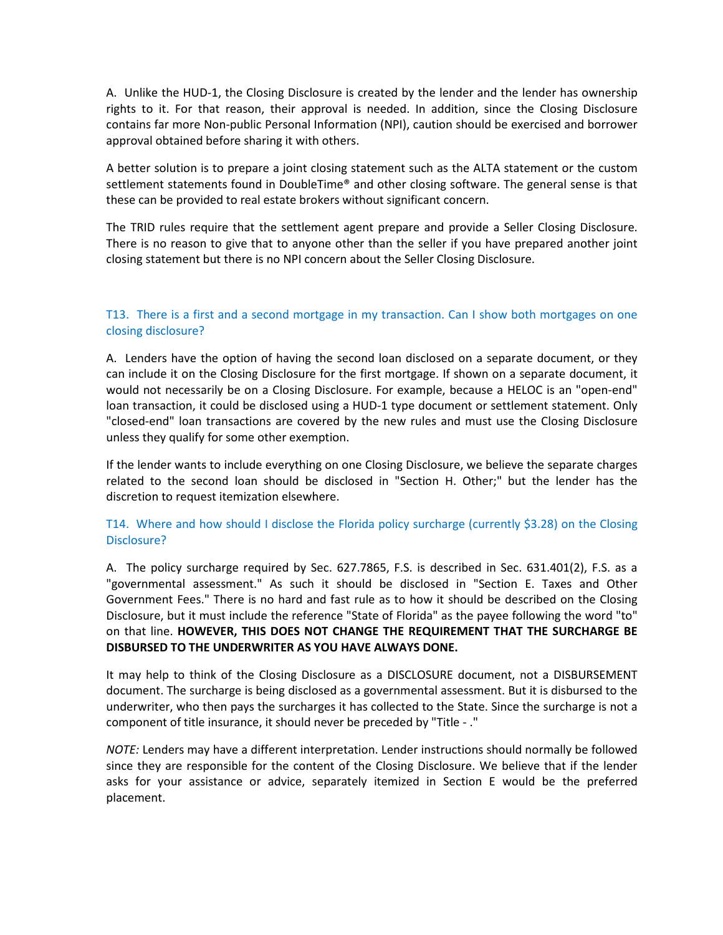A. Unlike the HUD-1, the Closing Disclosure is created by the lender and the lender has ownership rights to it. For that reason, their approval is needed. In addition, since the Closing Disclosure contains far more Non-public Personal Information (NPI), caution should be exercised and borrower approval obtained before sharing it with others.

A better solution is to prepare a joint closing statement such as the ALTA statement or the custom settlement statements found in DoubleTime® and other closing software. The general sense is that these can be provided to real estate brokers without significant concern.

The TRID rules require that the settlement agent prepare and provide a Seller Closing Disclosure. There is no reason to give that to anyone other than the seller if you have prepared another joint closing statement but there is no NPI concern about the Seller Closing Disclosure.

### <span id="page-7-0"></span>T13. There is a first and a second mortgage in my transaction. Can I show both mortgages on one closing disclosure?

A. Lenders have the option of having the second loan disclosed on a separate document, or they can include it on the Closing Disclosure for the first mortgage. If shown on a separate document, it would not necessarily be on a Closing Disclosure. For example, because a HELOC is an "open-end" loan transaction, it could be disclosed using a HUD-1 type document or settlement statement. Only "closed-end" loan transactions are covered by the new rules and must use the Closing Disclosure unless they qualify for some other exemption.

If the lender wants to include everything on one Closing Disclosure, we believe the separate charges related to the second loan should be disclosed in "Section H. Other;" but the lender has the discretion to request itemization elsewhere.

### <span id="page-7-1"></span>T14. Where and how should I disclose the Florida policy surcharge (currently \$3.28) on the Closing Disclosure?

A. The policy surcharge required by Sec. 627.7865, F.S. is described in Sec. 631.401(2), F.S. as a "governmental assessment." As such it should be disclosed in "Section E. Taxes and Other Government Fees." There is no hard and fast rule as to how it should be described on the Closing Disclosure, but it must include the reference "State of Florida" as the payee following the word "to" on that line. **HOWEVER, THIS DOES NOT CHANGE THE REQUIREMENT THAT THE SURCHARGE BE DISBURSED TO THE UNDERWRITER AS YOU HAVE ALWAYS DONE.**

It may help to think of the Closing Disclosure as a DISCLOSURE document, not a DISBURSEMENT document. The surcharge is being disclosed as a governmental assessment. But it is disbursed to the underwriter, who then pays the surcharges it has collected to the State. Since the surcharge is not a component of title insurance, it should never be preceded by "Title - ."

*NOTE:* Lenders may have a different interpretation. Lender instructions should normally be followed since they are responsible for the content of the Closing Disclosure. We believe that if the lender asks for your assistance or advice, separately itemized in Section E would be the preferred placement.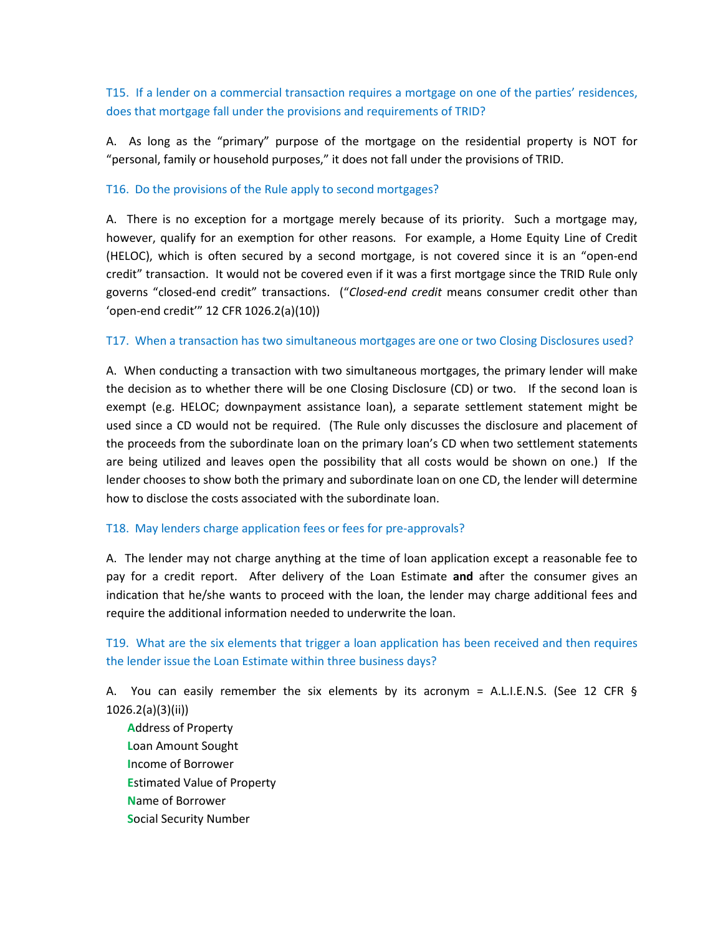<span id="page-8-0"></span>T15. If a lender on a commercial transaction requires a mortgage on one of the parties' residences, does that mortgage fall under the provisions and requirements of TRID?

A. As long as the "primary" purpose of the mortgage on the residential property is NOT for "personal, family or household purposes," it does not fall under the provisions of TRID.

### <span id="page-8-1"></span>T16. Do the provisions of the Rule apply to second mortgages?

A. There is no exception for a mortgage merely because of its priority. Such a mortgage may, however, qualify for an exemption for other reasons. For example, a Home Equity Line of Credit (HELOC), which is often secured by a second mortgage, is not covered since it is an "open-end credit" transaction. It would not be covered even if it was a first mortgage since the TRID Rule only governs "closed-end credit" transactions. ("*Closed-end credit* means consumer credit other than 'open-end credit'" 12 CFR 1026.2(a)(10))

### <span id="page-8-2"></span>T17. When a transaction has two simultaneous mortgages are one or two Closing Disclosures used?

A. When conducting a transaction with two simultaneous mortgages, the primary lender will make the decision as to whether there will be one Closing Disclosure (CD) or two. If the second loan is exempt (e.g. HELOC; downpayment assistance loan), a separate settlement statement might be used since a CD would not be required. (The Rule only discusses the disclosure and placement of the proceeds from the subordinate loan on the primary loan's CD when two settlement statements are being utilized and leaves open the possibility that all costs would be shown on one.) If the lender chooses to show both the primary and subordinate loan on one CD, the lender will determine how to disclose the costs associated with the subordinate loan.

### <span id="page-8-3"></span>T18. May lenders charge application fees or fees for pre-approvals?

A. The lender may not charge anything at the time of loan application except a reasonable fee to pay for a credit report. After delivery of the Loan Estimate **and** after the consumer gives an indication that he/she wants to proceed with the loan, the lender may charge additional fees and require the additional information needed to underwrite the loan.

<span id="page-8-4"></span>T19. What are the six elements that trigger a loan application has been received and then requires the lender issue the Loan Estimate within three business days?

A. You can easily remember the six elements by its acronym = A.L.I.E.N.S. (See 12 CFR § 1026.2(a)(3)(ii))

**A**ddress of Property **L**oan Amount Sought **I**ncome of Borrower **E**stimated Value of Property **N**ame of Borrower **S**ocial Security Number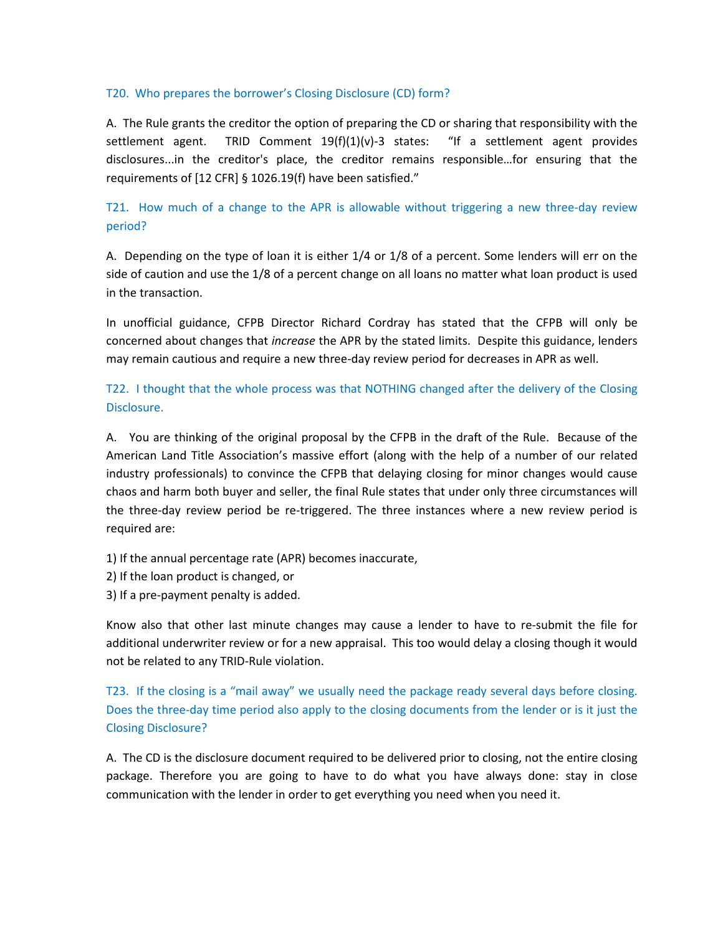#### <span id="page-9-0"></span>T20. Who prepares the borrower's Closing Disclosure (CD) form?

A. The Rule grants the creditor the option of preparing the CD or sharing that responsibility with the settlement agent. TRID Comment  $19(f)(1)(v)-3$  states: "If a settlement agent provides disclosures...in the creditor's place, the creditor remains responsible…for ensuring that the requirements of [12 CFR] § 1026.19(f) have been satisfied."

# <span id="page-9-1"></span>T21. How much of a change to the APR is allowable without triggering a new three-day review period?

A. Depending on the type of loan it is either 1/4 or 1/8 of a percent. Some lenders will err on the side of caution and use the 1/8 of a percent change on all loans no matter what loan product is used in the transaction.

In unofficial guidance, CFPB Director Richard Cordray has stated that the CFPB will only be concerned about changes that *increase* the APR by the stated limits. Despite this guidance, lenders may remain cautious and require a new three-day review period for decreases in APR as well.

# <span id="page-9-2"></span>T22. I thought that the whole process was that NOTHING changed after the delivery of the Closing Disclosure.

A. You are thinking of the original proposal by the CFPB in the draft of the Rule. Because of the American Land Title Association's massive effort (along with the help of a number of our related industry professionals) to convince the CFPB that delaying closing for minor changes would cause chaos and harm both buyer and seller, the final Rule states that under only three circumstances will the three-day review period be re-triggered. The three instances where a new review period is required are:

- 1) If the annual percentage rate (APR) becomes inaccurate,
- 2) If the loan product is changed, or
- 3) If a pre-payment penalty is added.

Know also that other last minute changes may cause a lender to have to re-submit the file for additional underwriter review or for a new appraisal. This too would delay a closing though it would not be related to any TRID-Rule violation.

# <span id="page-9-3"></span>T23. If the closing is a "mail away" we usually need the package ready several days before closing. Does the three-day time period also apply to the closing documents from the lender or is it just the Closing Disclosure?

A. The CD is the disclosure document required to be delivered prior to closing, not the entire closing package. Therefore you are going to have to do what you have always done: stay in close communication with the lender in order to get everything you need when you need it.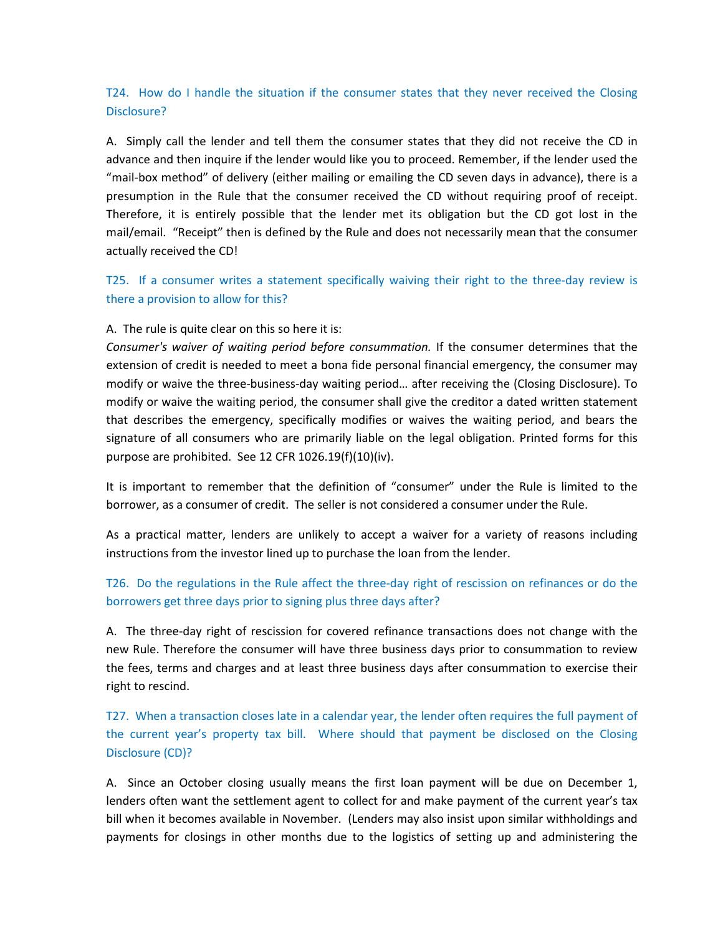## <span id="page-10-0"></span>T24. How do I handle the situation if the consumer states that they never received the Closing Disclosure?

A. Simply call the lender and tell them the consumer states that they did not receive the CD in advance and then inquire if the lender would like you to proceed. Remember, if the lender used the "mail-box method" of delivery (either mailing or emailing the CD seven days in advance), there is a presumption in the Rule that the consumer received the CD without requiring proof of receipt. Therefore, it is entirely possible that the lender met its obligation but the CD got lost in the mail/email. "Receipt" then is defined by the Rule and does not necessarily mean that the consumer actually received the CD!

<span id="page-10-1"></span>T25. If a consumer writes a statement specifically waiving their right to the three-day review is there a provision to allow for this?

A. The rule is quite clear on this so here it is:

*Consumer's waiver of waiting period before consummation.* If the consumer determines that the extension of credit is needed to meet a bona fide personal financial emergency, the consumer may modify or waive the three-business-day waiting period… after receiving the (Closing Disclosure). To modify or waive the waiting period, the consumer shall give the creditor a dated written statement that describes the emergency, specifically modifies or waives the waiting period, and bears the signature of all consumers who are primarily liable on the legal obligation. Printed forms for this purpose are prohibited. See 12 CFR 1026.19(f)(10)(iv).

It is important to remember that the definition of "consumer" under the Rule is limited to the borrower, as a consumer of credit. The seller is not considered a consumer under the Rule.

As a practical matter, lenders are unlikely to accept a waiver for a variety of reasons including instructions from the investor lined up to purchase the loan from the lender.

# <span id="page-10-2"></span>T26. Do the regulations in the Rule affect the three-day right of rescission on refinances or do the borrowers get three days prior to signing plus three days after?

A. The three-day right of rescission for covered refinance transactions does not change with the new Rule. Therefore the consumer will have three business days prior to consummation to review the fees, terms and charges and at least three business days after consummation to exercise their right to rescind.

<span id="page-10-3"></span>T27. When a transaction closes late in a calendar year, the lender often requires the full payment of the current year's property tax bill. Where should that payment be disclosed on the Closing Disclosure (CD)?

A. Since an October closing usually means the first loan payment will be due on December 1, lenders often want the settlement agent to collect for and make payment of the current year's tax bill when it becomes available in November. (Lenders may also insist upon similar withholdings and payments for closings in other months due to the logistics of setting up and administering the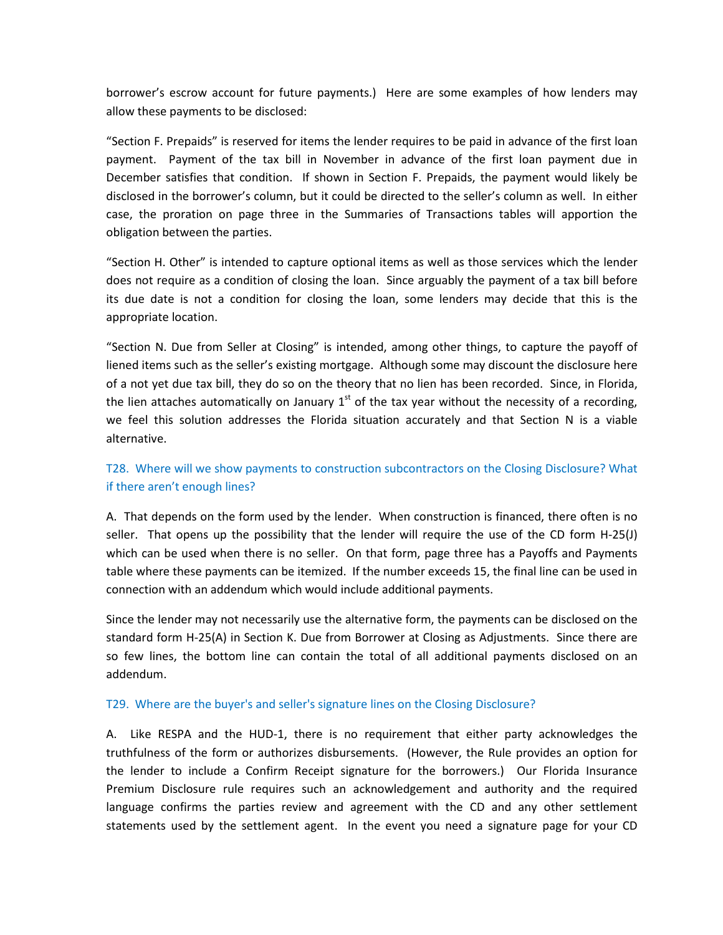borrower's escrow account for future payments.) Here are some examples of how lenders may allow these payments to be disclosed:

"Section F. Prepaids" is reserved for items the lender requires to be paid in advance of the first loan payment. Payment of the tax bill in November in advance of the first loan payment due in December satisfies that condition. If shown in Section F. Prepaids, the payment would likely be disclosed in the borrower's column, but it could be directed to the seller's column as well. In either case, the proration on page three in the Summaries of Transactions tables will apportion the obligation between the parties.

"Section H. Other" is intended to capture optional items as well as those services which the lender does not require as a condition of closing the loan. Since arguably the payment of a tax bill before its due date is not a condition for closing the loan, some lenders may decide that this is the appropriate location.

"Section N. Due from Seller at Closing" is intended, among other things, to capture the payoff of liened items such as the seller's existing mortgage. Although some may discount the disclosure here of a not yet due tax bill, they do so on the theory that no lien has been recorded. Since, in Florida, the lien attaches automatically on January  $1<sup>st</sup>$  of the tax year without the necessity of a recording, we feel this solution addresses the Florida situation accurately and that Section N is a viable alternative.

## <span id="page-11-0"></span>T28. Where will we show payments to construction subcontractors on the Closing Disclosure? What if there aren't enough lines?

A. That depends on the form used by the lender. When construction is financed, there often is no seller. That opens up the possibility that the lender will require the use of the CD form H-25(J) which can be used when there is no seller. On that form, page three has a Payoffs and Payments table where these payments can be itemized. If the number exceeds 15, the final line can be used in connection with an addendum which would include additional payments.

Since the lender may not necessarily use the alternative form, the payments can be disclosed on the standard form H-25(A) in Section K. Due from Borrower at Closing as Adjustments. Since there are so few lines, the bottom line can contain the total of all additional payments disclosed on an addendum.

#### <span id="page-11-1"></span>T29. Where are the buyer's and seller's signature lines on the Closing Disclosure?

A. Like RESPA and the HUD-1, there is no requirement that either party acknowledges the truthfulness of the form or authorizes disbursements. (However, the Rule provides an option for the lender to include a Confirm Receipt signature for the borrowers.) Our Florida Insurance Premium Disclosure rule requires such an acknowledgement and authority and the required language confirms the parties review and agreement with the CD and any other settlement statements used by the settlement agent. In the event you need a signature page for your CD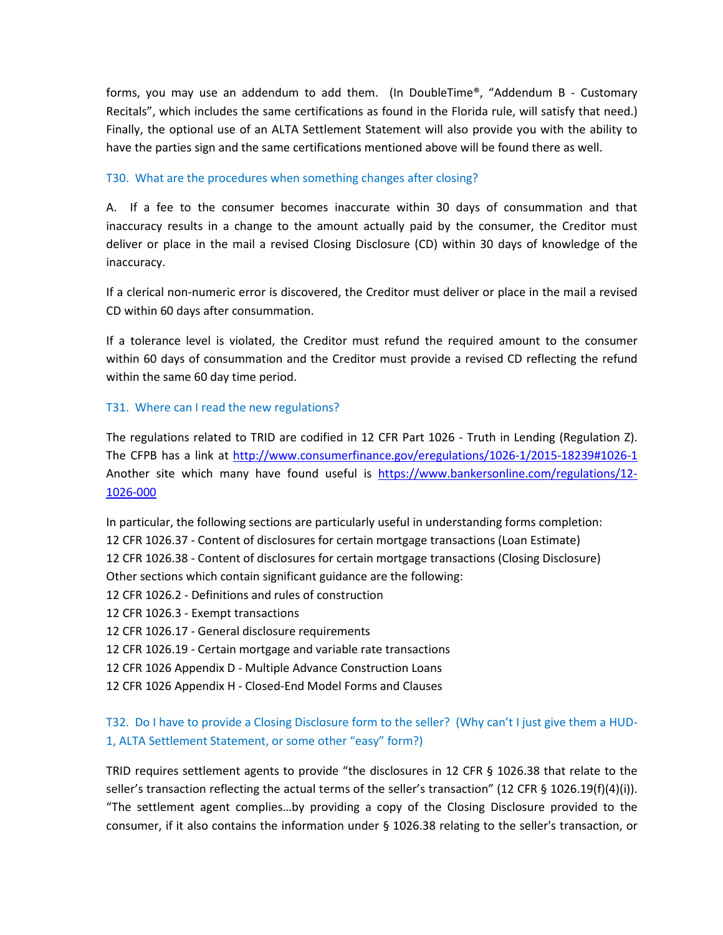forms, you may use an addendum to add them. (In DoubleTime®, "Addendum B - Customary Recitals", which includes the same certifications as found in the Florida rule, will satisfy that need.) Finally, the optional use of an ALTA Settlement Statement will also provide you with the ability to have the parties sign and the same certifications mentioned above will be found there as well.

### <span id="page-12-0"></span>T30. What are the procedures when something changes after closing?

A. If a fee to the consumer becomes inaccurate within 30 days of consummation and that inaccuracy results in a change to the amount actually paid by the consumer, the Creditor must deliver or place in the mail a revised Closing Disclosure (CD) within 30 days of knowledge of the inaccuracy.

If a clerical non-numeric error is discovered, the Creditor must deliver or place in the mail a revised CD within 60 days after consummation.

If a tolerance level is violated, the Creditor must refund the required amount to the consumer within 60 days of consummation and the Creditor must provide a revised CD reflecting the refund within the same 60 day time period.

### <span id="page-12-1"></span>T31. Where can I read the new regulations?

The regulations related to TRID are codified in 12 CFR Part 1026 - Truth in Lending (Regulation Z). The CFPB has a link at<http://www.consumerfinance.gov/eregulations/1026-1/2015-18239#1026-1> Another site which many have found useful is [https://www.bankersonline.com/regulations/12-](https://www.bankersonline.com/regulations/12-1026-000) [1026-000](https://www.bankersonline.com/regulations/12-1026-000)

In particular, the following sections are particularly useful in understanding forms completion: 12 CFR 1026.37 - Content of disclosures for certain mortgage transactions (Loan Estimate) 12 CFR 1026.38 - Content of disclosures for certain mortgage transactions (Closing Disclosure) Other sections which contain significant guidance are the following: 12 CFR 1026.2 - Definitions and rules of construction 12 CFR 1026.3 - Exempt transactions 12 CFR 1026.17 - General disclosure requirements 12 CFR 1026.19 - Certain mortgage and variable rate transactions

12 CFR 1026 Appendix D - Multiple Advance Construction Loans

12 CFR 1026 Appendix H - Closed-End Model Forms and Clauses

# <span id="page-12-2"></span>T32. Do I have to provide a Closing Disclosure form to the seller? (Why can't I just give them a HUD-1, ALTA Settlement Statement, or some other "easy" form?)

TRID requires settlement agents to provide "the disclosures in 12 CFR § 1026.38 that relate to the seller's transaction reflecting the actual terms of the seller's transaction" (12 CFR § 1026.19(f)(4)(i)). "The settlement agent complies…by providing a copy of the Closing Disclosure provided to the consumer, if it also contains the information under § 1026.38 relating to the seller's transaction, or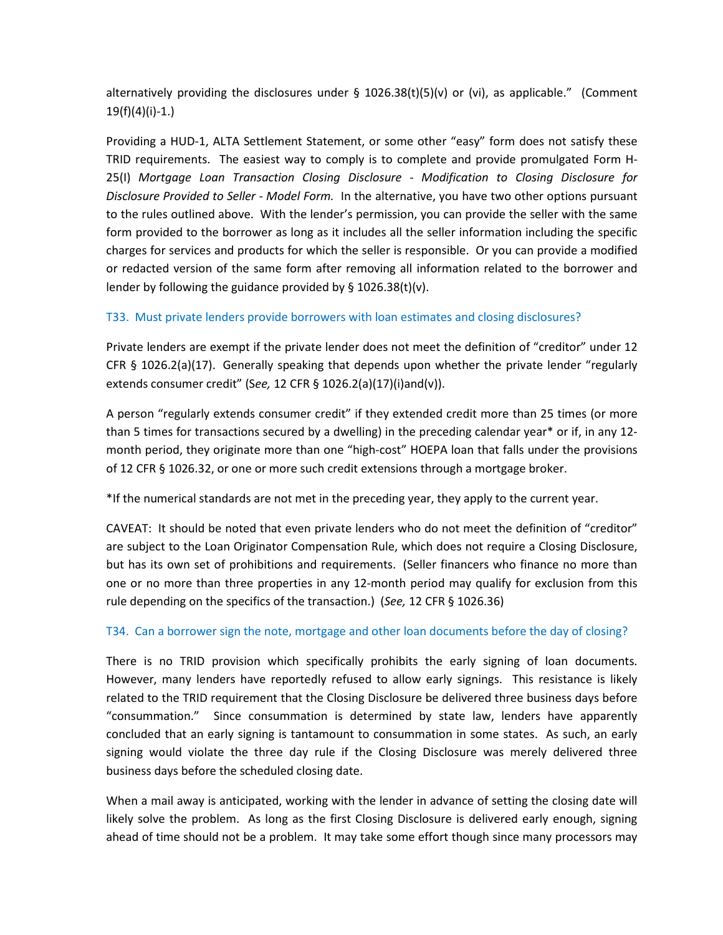alternatively providing the disclosures under  $\S$  1026.38(t)(5)(v) or (vi), as applicable." (Comment 19(f)(4)(i)-1.)

Providing a HUD-1, ALTA Settlement Statement, or some other "easy" form does not satisfy these TRID requirements. The easiest way to comply is to complete and provide promulgated Form H-25(I) *Mortgage Loan Transaction Closing Disclosure - Modification to Closing Disclosure for Disclosure Provided to Seller - Model Form.* In the alternative, you have two other options pursuant to the rules outlined above. With the lender's permission, you can provide the seller with the same form provided to the borrower as long as it includes all the seller information including the specific charges for services and products for which the seller is responsible. Or you can provide a modified or redacted version of the same form after removing all information related to the borrower and lender by following the guidance provided by § 1026.38(t)(v).

### <span id="page-13-0"></span>T33. Must private lenders provide borrowers with loan estimates and closing disclosures?

Private lenders are exempt if the private lender does not meet the definition of "creditor" under 12 CFR § 1026.2(a)(17). Generally speaking that depends upon whether the private lender "regularly extends consumer credit" (S*ee,* 12 CFR § 1026.2(a)(17)(i)and(v)).

A person "regularly extends consumer credit" if they extended credit more than 25 times (or more than 5 times for transactions secured by a dwelling) in the preceding calendar year\* or if, in any 12 month period, they originate more than one "high-cost" HOEPA loan that falls under the provisions of 12 CFR § 1026.32, or one or more such credit extensions through a mortgage broker.

\*If the numerical standards are not met in the preceding year, they apply to the current year.

CAVEAT: It should be noted that even private lenders who do not meet the definition of "creditor" are subject to the Loan Originator Compensation Rule, which does not require a Closing Disclosure, but has its own set of prohibitions and requirements. (Seller financers who finance no more than one or no more than three properties in any 12-month period may qualify for exclusion from this rule depending on the specifics of the transaction.) (*See,* 12 CFR § 1026.36)

### <span id="page-13-1"></span>T34. Can a borrower sign the note, mortgage and other loan documents before the day of closing?

There is no TRID provision which specifically prohibits the early signing of loan documents. However, many lenders have reportedly refused to allow early signings. This resistance is likely related to the TRID requirement that the Closing Disclosure be delivered three business days before "consummation." Since consummation is determined by state law, lenders have apparently concluded that an early signing is tantamount to consummation in some states. As such, an early signing would violate the three day rule if the Closing Disclosure was merely delivered three business days before the scheduled closing date.

When a mail away is anticipated, working with the lender in advance of setting the closing date will likely solve the problem. As long as the first Closing Disclosure is delivered early enough, signing ahead of time should not be a problem. It may take some effort though since many processors may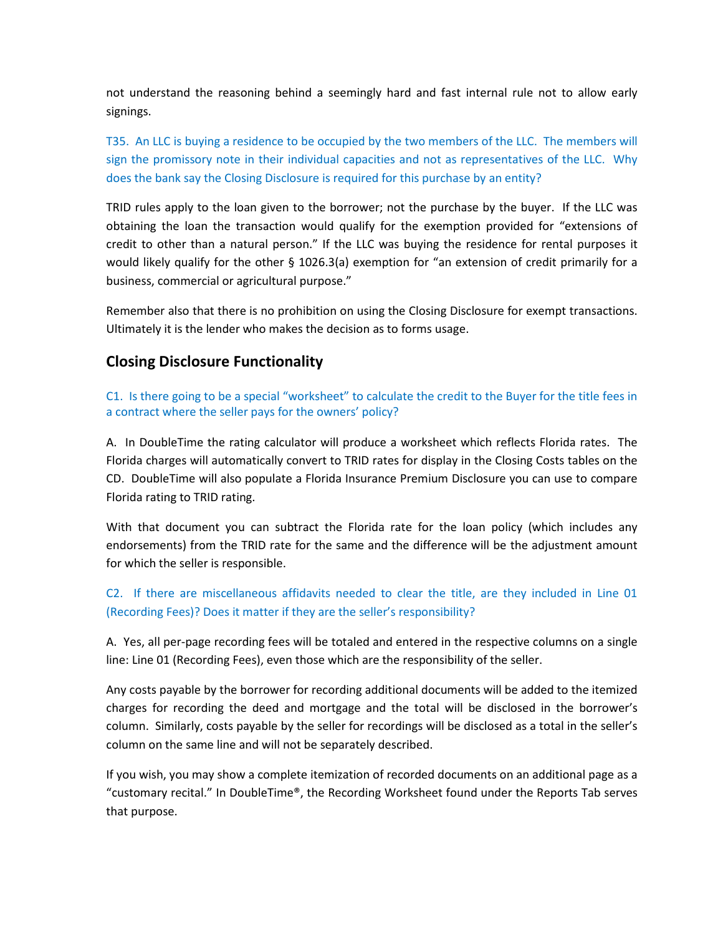not understand the reasoning behind a seemingly hard and fast internal rule not to allow early signings.

<span id="page-14-0"></span>T35. An LLC is buying a residence to be occupied by the two members of the LLC. The members will sign the promissory note in their individual capacities and not as representatives of the LLC. Why does the bank say the Closing Disclosure is required for this purchase by an entity?

TRID rules apply to the loan given to the borrower; not the purchase by the buyer. If the LLC was obtaining the loan the transaction would qualify for the exemption provided for "extensions of credit to other than a natural person." If the LLC was buying the residence for rental purposes it would likely qualify for the other § 1026.3(a) exemption for "an extension of credit primarily for a business, commercial or agricultural purpose."

Remember also that there is no prohibition on using the Closing Disclosure for exempt transactions. Ultimately it is the lender who makes the decision as to forms usage.

# **Closing Disclosure Functionality**

<span id="page-14-1"></span>C1. Is there going to be a special "worksheet" to calculate the credit to the Buyer for the title fees in a contract where the seller pays for the owners' policy?

A. In DoubleTime the rating calculator will produce a worksheet which reflects Florida rates. The Florida charges will automatically convert to TRID rates for display in the Closing Costs tables on the CD. DoubleTime will also populate a Florida Insurance Premium Disclosure you can use to compare Florida rating to TRID rating.

With that document you can subtract the Florida rate for the loan policy (which includes any endorsements) from the TRID rate for the same and the difference will be the adjustment amount for which the seller is responsible.

# <span id="page-14-2"></span>C2. If there are miscellaneous affidavits needed to clear the title, are they included in Line 01 (Recording Fees)? Does it matter if they are the seller's responsibility?

A. Yes, all per-page recording fees will be totaled and entered in the respective columns on a single line: Line 01 (Recording Fees), even those which are the responsibility of the seller.

Any costs payable by the borrower for recording additional documents will be added to the itemized charges for recording the deed and mortgage and the total will be disclosed in the borrower's column. Similarly, costs payable by the seller for recordings will be disclosed as a total in the seller's column on the same line and will not be separately described.

If you wish, you may show a complete itemization of recorded documents on an additional page as a "customary recital." In DoubleTime®, the Recording Worksheet found under the Reports Tab serves that purpose.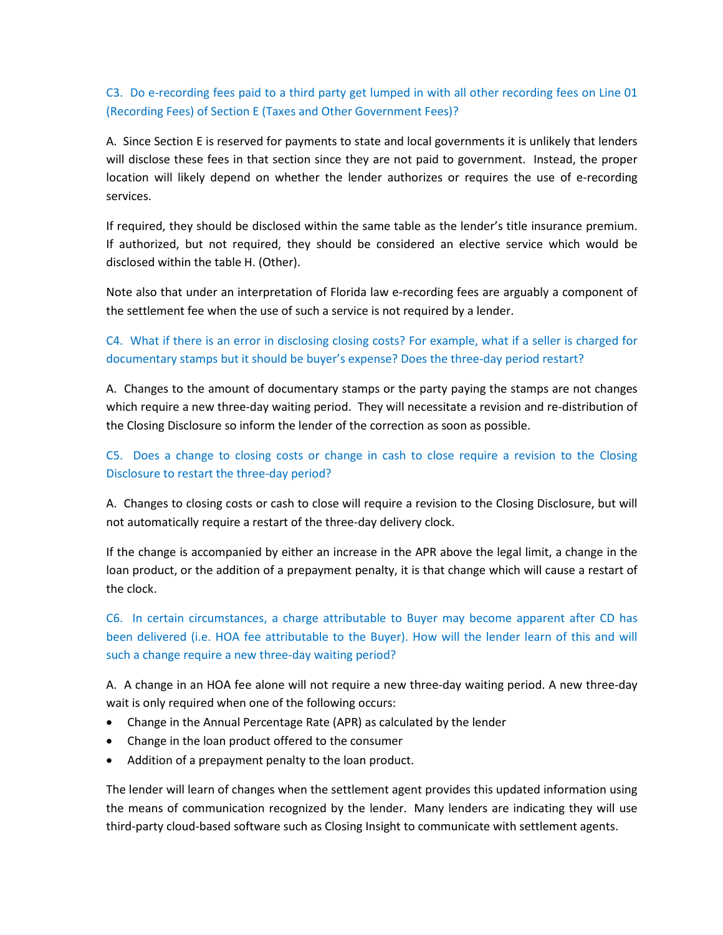# <span id="page-15-0"></span>C3. Do e-recording fees paid to a third party get lumped in with all other recording fees on Line 01 (Recording Fees) of Section E (Taxes and Other Government Fees)?

A. Since Section E is reserved for payments to state and local governments it is unlikely that lenders will disclose these fees in that section since they are not paid to government. Instead, the proper location will likely depend on whether the lender authorizes or requires the use of e-recording services.

If required, they should be disclosed within the same table as the lender's title insurance premium. If authorized, but not required, they should be considered an elective service which would be disclosed within the table H. (Other).

Note also that under an interpretation of Florida law e-recording fees are arguably a component of the settlement fee when the use of such a service is not required by a lender.

# <span id="page-15-1"></span>C4. What if there is an error in disclosing closing costs? For example, what if a seller is charged for documentary stamps but it should be buyer's expense? Does the three-day period restart?

A. Changes to the amount of documentary stamps or the party paying the stamps are not changes which require a new three-day waiting period. They will necessitate a revision and re-distribution of the Closing Disclosure so inform the lender of the correction as soon as possible.

# <span id="page-15-2"></span>C5. Does a change to closing costs or change in cash to close require a revision to the Closing Disclosure to restart the three-day period?

A. Changes to closing costs or cash to close will require a revision to the Closing Disclosure, but will not automatically require a restart of the three-day delivery clock.

If the change is accompanied by either an increase in the APR above the legal limit, a change in the loan product, or the addition of a prepayment penalty, it is that change which will cause a restart of the clock.

<span id="page-15-3"></span>C6. In certain circumstances, a charge attributable to Buyer may become apparent after CD has been delivered (i.e. HOA fee attributable to the Buyer). How will the lender learn of this and will such a change require a new three-day waiting period?

A. A change in an HOA fee alone will not require a new three-day waiting period. A new three-day wait is only required when one of the following occurs:

- Change in the Annual Percentage Rate (APR) as calculated by the lender
- Change in the loan product offered to the consumer
- Addition of a prepayment penalty to the loan product.

The lender will learn of changes when the settlement agent provides this updated information using the means of communication recognized by the lender. Many lenders are indicating they will use third-party cloud-based software such as Closing Insight to communicate with settlement agents.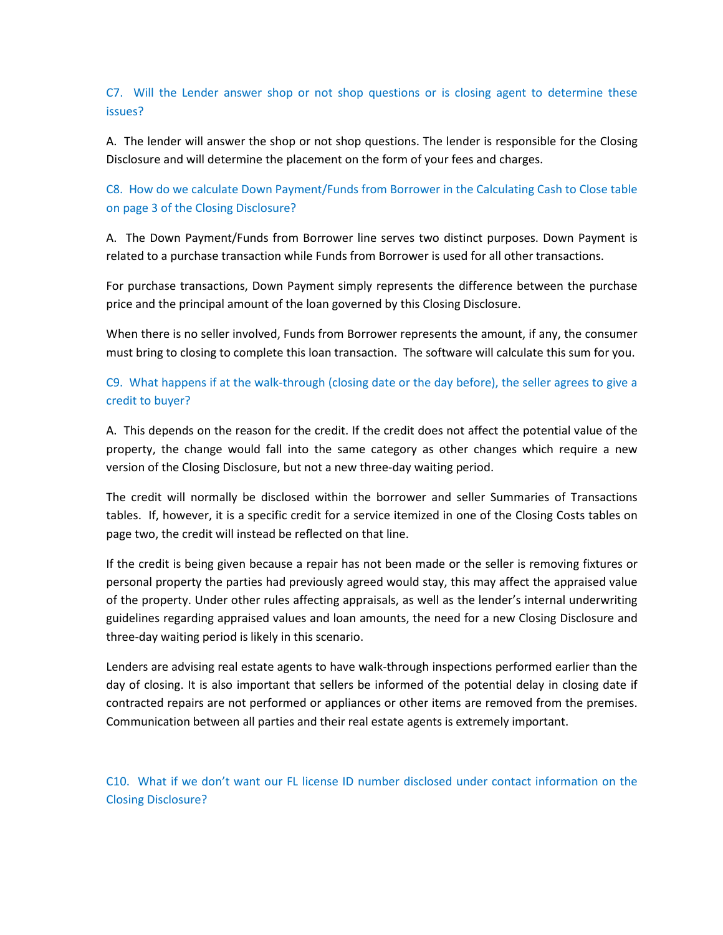## <span id="page-16-0"></span>C7. Will the Lender answer shop or not shop questions or is closing agent to determine these issues?

A. The lender will answer the shop or not shop questions. The lender is responsible for the Closing Disclosure and will determine the placement on the form of your fees and charges.

<span id="page-16-1"></span>C8. How do we calculate Down Payment/Funds from Borrower in the Calculating Cash to Close table on page 3 of the Closing Disclosure?

A. The Down Payment/Funds from Borrower line serves two distinct purposes. Down Payment is related to a purchase transaction while Funds from Borrower is used for all other transactions.

For purchase transactions, Down Payment simply represents the difference between the purchase price and the principal amount of the loan governed by this Closing Disclosure.

When there is no seller involved, Funds from Borrower represents the amount, if any, the consumer must bring to closing to complete this loan transaction. The software will calculate this sum for you.

# <span id="page-16-2"></span>C9. What happens if at the walk-through (closing date or the day before), the seller agrees to give a credit to buyer?

A. This depends on the reason for the credit. If the credit does not affect the potential value of the property, the change would fall into the same category as other changes which require a new version of the Closing Disclosure, but not a new three-day waiting period.

The credit will normally be disclosed within the borrower and seller Summaries of Transactions tables. If, however, it is a specific credit for a service itemized in one of the Closing Costs tables on page two, the credit will instead be reflected on that line.

If the credit is being given because a repair has not been made or the seller is removing fixtures or personal property the parties had previously agreed would stay, this may affect the appraised value of the property. Under other rules affecting appraisals, as well as the lender's internal underwriting guidelines regarding appraised values and loan amounts, the need for a new Closing Disclosure and three-day waiting period is likely in this scenario.

Lenders are advising real estate agents to have walk-through inspections performed earlier than the day of closing. It is also important that sellers be informed of the potential delay in closing date if contracted repairs are not performed or appliances or other items are removed from the premises. Communication between all parties and their real estate agents is extremely important.

<span id="page-16-3"></span>C10. What if we don't want our FL license ID number disclosed under contact information on the Closing Disclosure?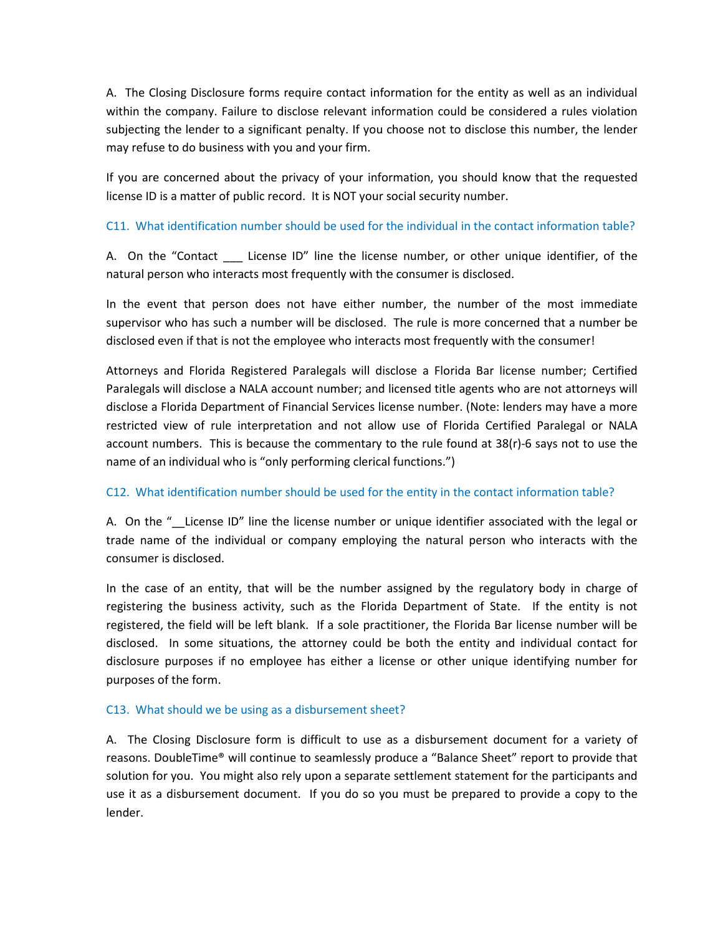A. The Closing Disclosure forms require contact information for the entity as well as an individual within the company. Failure to disclose relevant information could be considered a rules violation subjecting the lender to a significant penalty. If you choose not to disclose this number, the lender may refuse to do business with you and your firm.

If you are concerned about the privacy of your information, you should know that the requested license ID is a matter of public record. It is NOT your social security number.

### <span id="page-17-0"></span>C11. What identification number should be used for the individual in the contact information table?

A. On the "Contact \_\_\_\_ License ID" line the license number, or other unique identifier, of the natural person who interacts most frequently with the consumer is disclosed.

In the event that person does not have either number, the number of the most immediate supervisor who has such a number will be disclosed. The rule is more concerned that a number be disclosed even if that is not the employee who interacts most frequently with the consumer!

Attorneys and Florida Registered Paralegals will disclose a Florida Bar license number; Certified Paralegals will disclose a NALA account number; and licensed title agents who are not attorneys will disclose a Florida Department of Financial Services license number. (Note: lenders may have a more restricted view of rule interpretation and not allow use of Florida Certified Paralegal or NALA account numbers. This is because the commentary to the rule found at 38(r)-6 says not to use the name of an individual who is "only performing clerical functions.")

### <span id="page-17-1"></span>C12. What identification number should be used for the entity in the contact information table?

A. On the "\_\_License ID" line the license number or unique identifier associated with the legal or trade name of the individual or company employing the natural person who interacts with the consumer is disclosed.

In the case of an entity, that will be the number assigned by the regulatory body in charge of registering the business activity, such as the Florida Department of State. If the entity is not registered, the field will be left blank. If a sole practitioner, the Florida Bar license number will be disclosed. In some situations, the attorney could be both the entity and individual contact for disclosure purposes if no employee has either a license or other unique identifying number for purposes of the form.

### <span id="page-17-2"></span>C13. What should we be using as a disbursement sheet?

A. The Closing Disclosure form is difficult to use as a disbursement document for a variety of reasons. DoubleTime® will continue to seamlessly produce a "Balance Sheet" report to provide that solution for you. You might also rely upon a separate settlement statement for the participants and use it as a disbursement document. If you do so you must be prepared to provide a copy to the lender.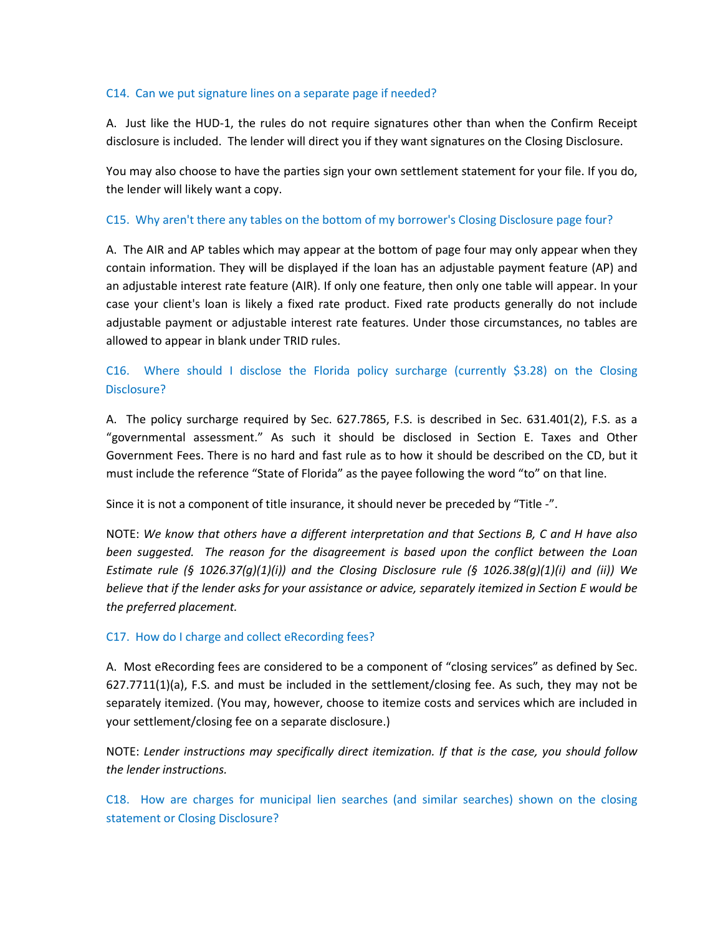#### <span id="page-18-0"></span>C14. Can we put signature lines on a separate page if needed?

A. Just like the HUD-1, the rules do not require signatures other than when the Confirm Receipt disclosure is included. The lender will direct you if they want signatures on the Closing Disclosure.

You may also choose to have the parties sign your own settlement statement for your file. If you do, the lender will likely want a copy.

### <span id="page-18-1"></span>C15. Why aren't there any tables on the bottom of my borrower's Closing Disclosure page four?

A. The AIR and AP tables which may appear at the bottom of page four may only appear when they contain information. They will be displayed if the loan has an adjustable payment feature (AP) and an adjustable interest rate feature (AIR). If only one feature, then only one table will appear. In your case your client's loan is likely a fixed rate product. Fixed rate products generally do not include adjustable payment or adjustable interest rate features. Under those circumstances, no tables are allowed to appear in blank under TRID rules.

# <span id="page-18-2"></span>C16. Where should I disclose the Florida policy surcharge (currently \$3.28) on the Closing Disclosure?

A. The policy surcharge required by Sec. 627.7865, F.S. is described in Sec. 631.401(2), F.S. as a "governmental assessment." As such it should be disclosed in Section E. Taxes and Other Government Fees. There is no hard and fast rule as to how it should be described on the CD, but it must include the reference "State of Florida" as the payee following the word "to" on that line.

Since it is not a component of title insurance, it should never be preceded by "Title -".

NOTE: *We know that others have a different interpretation and that Sections B, C and H have also*  been suggested. The reason for the disagreement is based upon the conflict between the Loan *Estimate rule (§ 1026.37(g)(1)(i)) and the Closing Disclosure rule (§ 1026.38(g)(1)(i) and (ii)) We believe that if the lender asks for your assistance or advice, separately itemized in Section E would be the preferred placement.*

### <span id="page-18-3"></span>C17. How do I charge and collect eRecording fees?

A. Most eRecording fees are considered to be a component of "closing services" as defined by Sec. 627.7711(1)(a), F.S. and must be included in the settlement/closing fee. As such, they may not be separately itemized. (You may, however, choose to itemize costs and services which are included in your settlement/closing fee on a separate disclosure.)

NOTE: *Lender instructions may specifically direct itemization. If that is the case, you should follow the lender instructions.*

<span id="page-18-4"></span>C18. How are charges for municipal lien searches (and similar searches) shown on the closing statement or Closing Disclosure?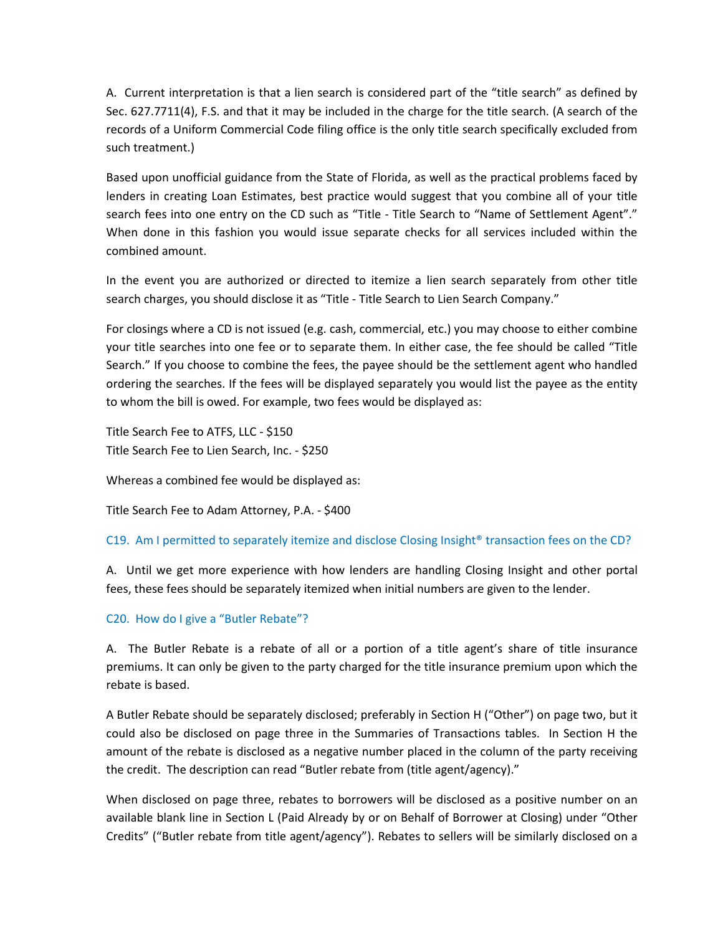A. Current interpretation is that a lien search is considered part of the "title search" as defined by Sec. 627.7711(4), F.S. and that it may be included in the charge for the title search. (A search of the records of a Uniform Commercial Code filing office is the only title search specifically excluded from such treatment.)

Based upon unofficial guidance from the State of Florida, as well as the practical problems faced by lenders in creating Loan Estimates, best practice would suggest that you combine all of your title search fees into one entry on the CD such as "Title - Title Search to "Name of Settlement Agent"." When done in this fashion you would issue separate checks for all services included within the combined amount.

In the event you are authorized or directed to itemize a lien search separately from other title search charges, you should disclose it as "Title - Title Search to Lien Search Company."

For closings where a CD is not issued (e.g. cash, commercial, etc.) you may choose to either combine your title searches into one fee or to separate them. In either case, the fee should be called "Title Search." If you choose to combine the fees, the payee should be the settlement agent who handled ordering the searches. If the fees will be displayed separately you would list the payee as the entity to whom the bill is owed. For example, two fees would be displayed as:

Title Search Fee to ATFS, LLC - \$150 Title Search Fee to Lien Search, Inc. - \$250

Whereas a combined fee would be displayed as:

Title Search Fee to Adam Attorney, P.A. - \$400

### <span id="page-19-0"></span>C19. Am I permitted to separately itemize and disclose Closing Insight® transaction fees on the CD?

A. Until we get more experience with how lenders are handling Closing Insight and other portal fees, these fees should be separately itemized when initial numbers are given to the lender.

### <span id="page-19-1"></span>C20. How do I give a "Butler Rebate"?

A. The Butler Rebate is a rebate of all or a portion of a title agent's share of title insurance premiums. It can only be given to the party charged for the title insurance premium upon which the rebate is based.

A Butler Rebate should be separately disclosed; preferably in Section H ("Other") on page two, but it could also be disclosed on page three in the Summaries of Transactions tables. In Section H the amount of the rebate is disclosed as a negative number placed in the column of the party receiving the credit. The description can read "Butler rebate from (title agent/agency)."

When disclosed on page three, rebates to borrowers will be disclosed as a positive number on an available blank line in Section L (Paid Already by or on Behalf of Borrower at Closing) under "Other Credits" ("Butler rebate from title agent/agency"). Rebates to sellers will be similarly disclosed on a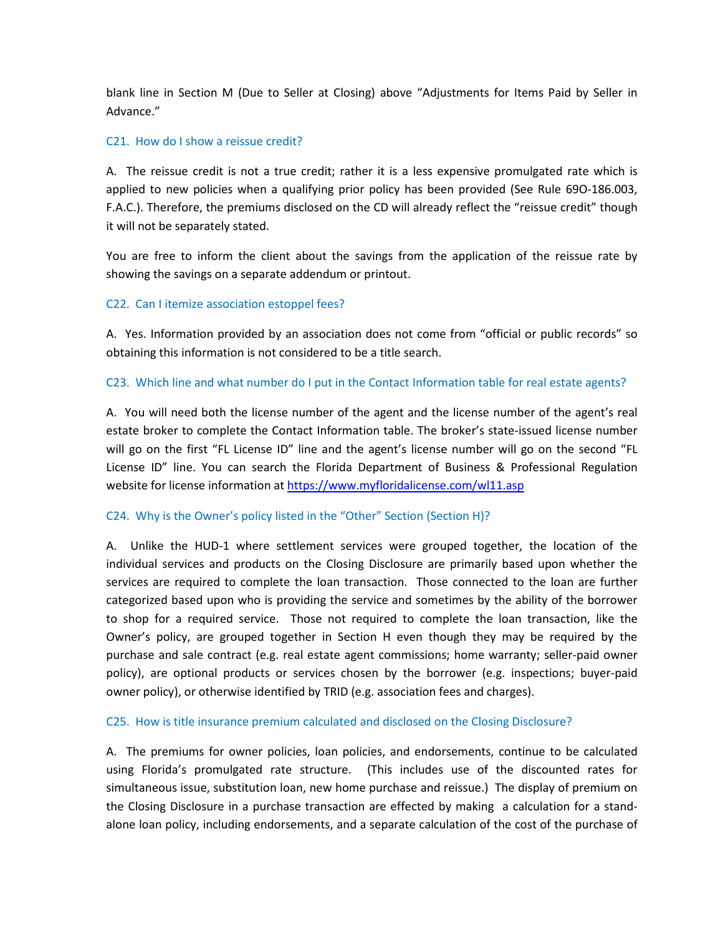blank line in Section M (Due to Seller at Closing) above "Adjustments for Items Paid by Seller in Advance."

#### <span id="page-20-0"></span>C21. How do I show a reissue credit?

A. The reissue credit is not a true credit; rather it is a less expensive promulgated rate which is applied to new policies when a qualifying prior policy has been provided (See Rule 69O-186.003, F.A.C.). Therefore, the premiums disclosed on the CD will already reflect the "reissue credit" though it will not be separately stated.

You are free to inform the client about the savings from the application of the reissue rate by showing the savings on a separate addendum or printout.

### <span id="page-20-1"></span>C22. Can I itemize association estoppel fees?

A. Yes. Information provided by an association does not come from "official or public records" so obtaining this information is not considered to be a title search.

### <span id="page-20-2"></span>C23. Which line and what number do I put in the Contact Information table for real estate agents?

A. You will need both the license number of the agent and the license number of the agent's real estate broker to complete the Contact Information table. The broker's state-issued license number will go on the first "FL License ID" line and the agent's license number will go on the second "FL License ID" line. You can search the Florida Department of Business & Professional Regulation website for license information a[t https://www.myfloridalicense.com/wl11.asp](https://www.myfloridalicense.com/wl11.asp)

### <span id="page-20-3"></span>C24. Why is the Owner's policy listed in the "Other" Section (Section H)?

A. Unlike the HUD-1 where settlement services were grouped together, the location of the individual services and products on the Closing Disclosure are primarily based upon whether the services are required to complete the loan transaction. Those connected to the loan are further categorized based upon who is providing the service and sometimes by the ability of the borrower to shop for a required service. Those not required to complete the loan transaction, like the Owner's policy, are grouped together in Section H even though they may be required by the purchase and sale contract (e.g. real estate agent commissions; home warranty; seller-paid owner policy), are optional products or services chosen by the borrower (e.g. inspections; buyer-paid owner policy), or otherwise identified by TRID (e.g. association fees and charges).

### <span id="page-20-4"></span>C25. How is title insurance premium calculated and disclosed on the Closing Disclosure?

A. The premiums for owner policies, loan policies, and endorsements, continue to be calculated using Florida's promulgated rate structure. (This includes use of the discounted rates for simultaneous issue, substitution loan, new home purchase and reissue.) The display of premium on the Closing Disclosure in a purchase transaction are effected by making a calculation for a standalone loan policy, including endorsements, and a separate calculation of the cost of the purchase of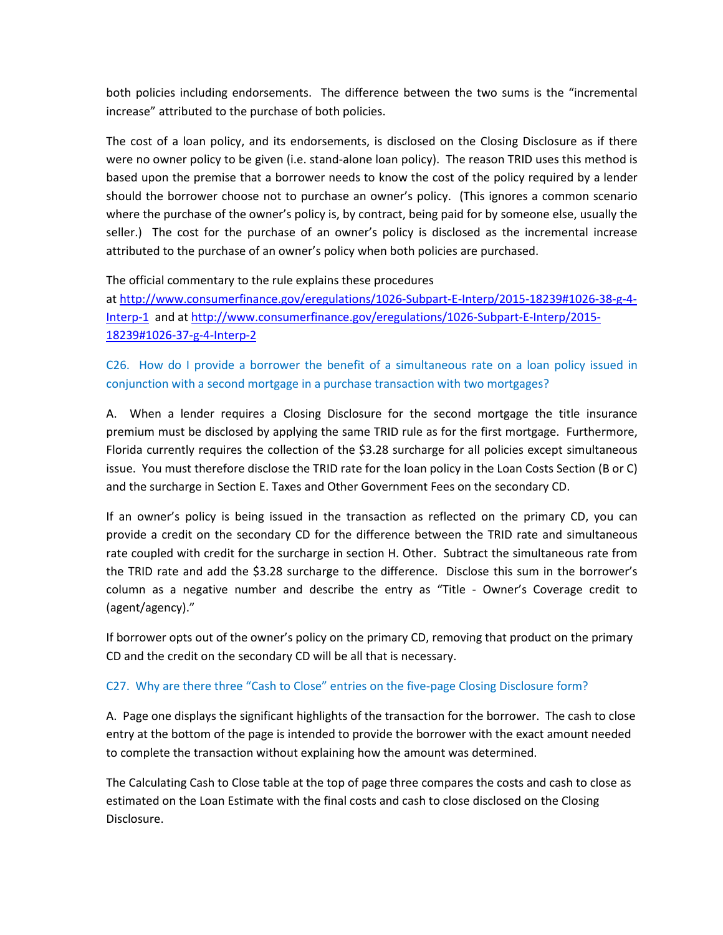both policies including endorsements. The difference between the two sums is the "incremental increase" attributed to the purchase of both policies.

The cost of a loan policy, and its endorsements, is disclosed on the Closing Disclosure as if there were no owner policy to be given (i.e. stand-alone loan policy). The reason TRID uses this method is based upon the premise that a borrower needs to know the cost of the policy required by a lender should the borrower choose not to purchase an owner's policy. (This ignores a common scenario where the purchase of the owner's policy is, by contract, being paid for by someone else, usually the seller.) The cost for the purchase of an owner's policy is disclosed as the incremental increase attributed to the purchase of an owner's policy when both policies are purchased.

### The official commentary to the rule explains these procedures

at [http://www.consumerfinance.gov/eregulations/1026-Subpart-E-Interp/2015-18239#1026-38-g-4-](http://www.consumerfinance.gov/eregulations/1026-Subpart-E-Interp/2015-18239#1026-38-g-4-Interp-1) [Interp-1](http://www.consumerfinance.gov/eregulations/1026-Subpart-E-Interp/2015-18239#1026-38-g-4-Interp-1) and at [http://www.consumerfinance.gov/eregulations/1026-Subpart-E-Interp/2015-](http://www.consumerfinance.gov/eregulations/1026-Subpart-E-Interp/2015-18239#1026-37-g-4-Interp-2) [18239#1026-37-g-4-Interp-2](http://www.consumerfinance.gov/eregulations/1026-Subpart-E-Interp/2015-18239#1026-37-g-4-Interp-2)

<span id="page-21-0"></span>C26. How do I provide a borrower the benefit of a simultaneous rate on a loan policy issued in conjunction with a second mortgage in a purchase transaction with two mortgages?

A. When a lender requires a Closing Disclosure for the second mortgage the title insurance premium must be disclosed by applying the same TRID rule as for the first mortgage. Furthermore, Florida currently requires the collection of the \$3.28 surcharge for all policies except simultaneous issue. You must therefore disclose the TRID rate for the loan policy in the Loan Costs Section (B or C) and the surcharge in Section E. Taxes and Other Government Fees on the secondary CD.

If an owner's policy is being issued in the transaction as reflected on the primary CD, you can provide a credit on the secondary CD for the difference between the TRID rate and simultaneous rate coupled with credit for the surcharge in section H. Other. Subtract the simultaneous rate from the TRID rate and add the \$3.28 surcharge to the difference. Disclose this sum in the borrower's column as a negative number and describe the entry as "Title - Owner's Coverage credit to (agent/agency)."

If borrower opts out of the owner's policy on the primary CD, removing that product on the primary CD and the credit on the secondary CD will be all that is necessary.

### <span id="page-21-1"></span>C27. Why are there three "Cash to Close" entries on the five-page Closing Disclosure form?

A. Page one displays the significant highlights of the transaction for the borrower. The cash to close entry at the bottom of the page is intended to provide the borrower with the exact amount needed to complete the transaction without explaining how the amount was determined.

The Calculating Cash to Close table at the top of page three compares the costs and cash to close as estimated on the Loan Estimate with the final costs and cash to close disclosed on the Closing Disclosure.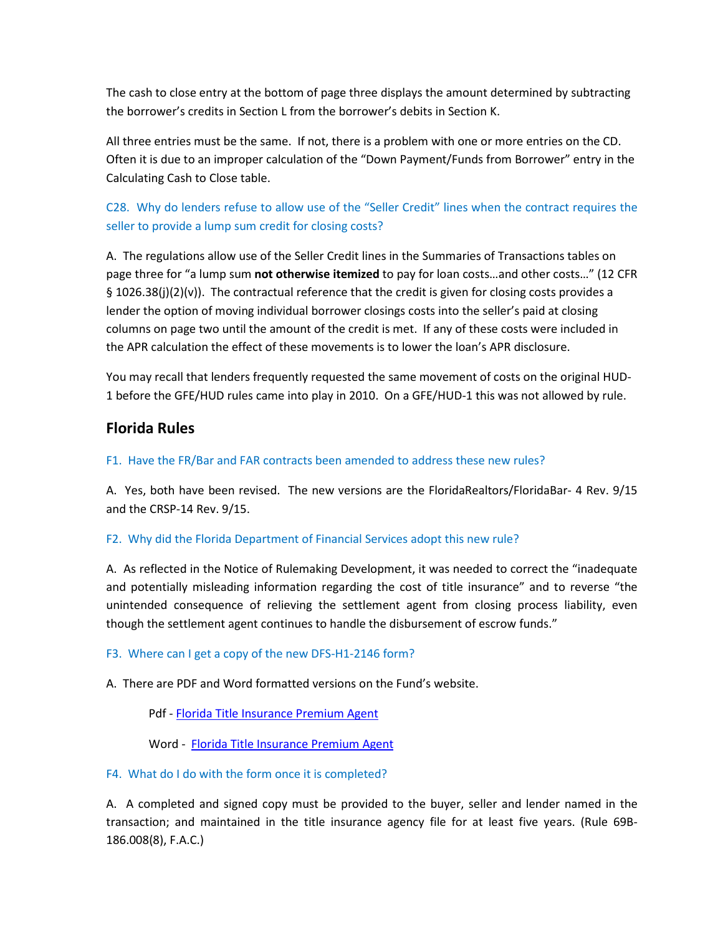The cash to close entry at the bottom of page three displays the amount determined by subtracting the borrower's credits in Section L from the borrower's debits in Section K.

All three entries must be the same. If not, there is a problem with one or more entries on the CD. Often it is due to an improper calculation of the "Down Payment/Funds from Borrower" entry in the Calculating Cash to Close table.

<span id="page-22-0"></span>C28. Why do lenders refuse to allow use of the "Seller Credit" lines when the contract requires the seller to provide a lump sum credit for closing costs?

A. The regulations allow use of the Seller Credit lines in the Summaries of Transactions tables on page three for "a lump sum **not otherwise itemized** to pay for loan costs…and other costs…" (12 CFR § 1026.38(j)(2)(v)). The contractual reference that the credit is given for closing costs provides a lender the option of moving individual borrower closings costs into the seller's paid at closing columns on page two until the amount of the credit is met. If any of these costs were included in the APR calculation the effect of these movements is to lower the loan's APR disclosure.

You may recall that lenders frequently requested the same movement of costs on the original HUD-1 before the GFE/HUD rules came into play in 2010. On a GFE/HUD-1 this was not allowed by rule.

# **Florida Rules**

### <span id="page-22-1"></span>F1. Have the FR/Bar and FAR contracts been amended to address these new rules?

A. Yes, both have been revised. The new versions are the FloridaRealtors/FloridaBar- 4 Rev. 9/15 and the CRSP-14 Rev. 9/15.

### <span id="page-22-2"></span>F2. Why did the Florida Department of Financial Services adopt this new rule?

A. As reflected in the Notice of Rulemaking Development, it was needed to correct the "inadequate and potentially misleading information regarding the cost of title insurance" and to reverse "the unintended consequence of relieving the settlement agent from closing process liability, even though the settlement agent continues to handle the disbursement of escrow funds."

### <span id="page-22-3"></span>F3. Where can I get a copy of the new DFS-H1-2146 form?

A. There are PDF and Word formatted versions on the Fund's website.

Pdf - [Florida Title Insurance Premium Agent](https://www.thefund.com/Public/InformationCenter/pdf/69B-186-008-Florida-Title-Insurance-Premium-Agent.aspx)

Word - [Florida Title Insurance Premium Agent](https://www.thefund.com/Public/InformationCenter/pdf/Florida-Title-Insurance-Premium-Agent-Certificatio.aspx)

### <span id="page-22-4"></span>F4. What do I do with the form once it is completed?

A. A completed and signed copy must be provided to the buyer, seller and lender named in the transaction; and maintained in the title insurance agency file for at least five years. (Rule 69B-186.008(8), F.A.C.)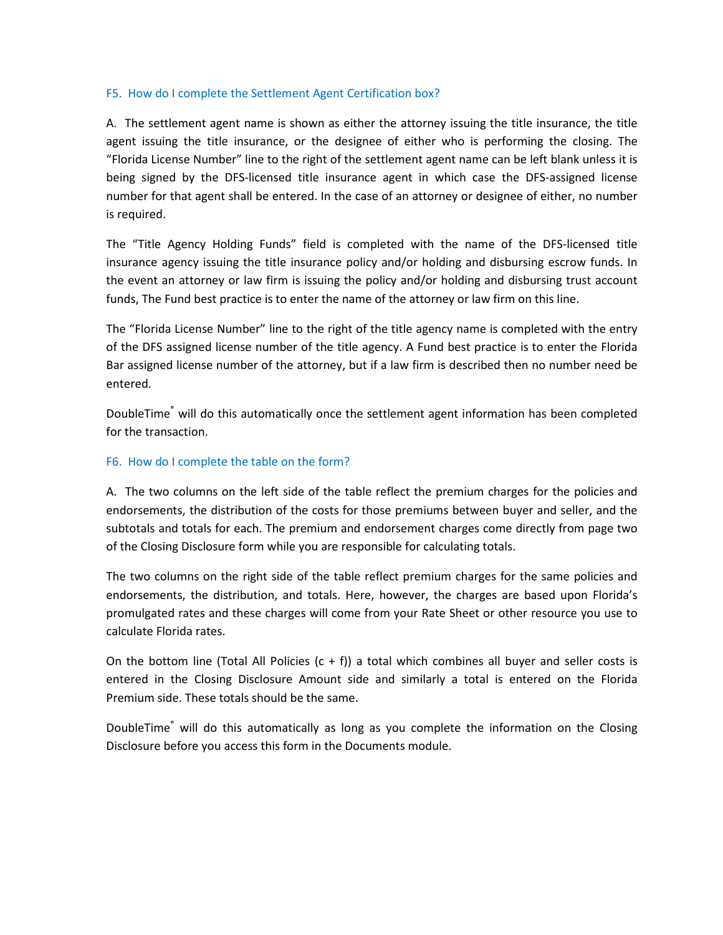### <span id="page-23-0"></span>F5. How do I complete the Settlement Agent Certification box?

A. The settlement agent name is shown as either the attorney issuing the title insurance, the title agent issuing the title insurance, or the designee of either who is performing the closing. The "Florida License Number" line to the right of the settlement agent name can be left blank unless it is being signed by the DFS-licensed title insurance agent in which case the DFS-assigned license number for that agent shall be entered. In the case of an attorney or designee of either, no number is required.

The "Title Agency Holding Funds" field is completed with the name of the DFS-licensed title insurance agency issuing the title insurance policy and/or holding and disbursing escrow funds. In the event an attorney or law firm is issuing the policy and/or holding and disbursing trust account funds, The Fund best practice is to enter the name of the attorney or law firm on this line.

The "Florida License Number" line to the right of the title agency name is completed with the entry of the DFS assigned license number of the title agency. A Fund best practice is to enter the Florida Bar assigned license number of the attorney, but if a law firm is described then no number need be entered.

DoubleTime® will do this automatically once the settlement agent information has been completed for the transaction.

### <span id="page-23-1"></span>F6. How do I complete the table on the form?

A. The two columns on the left side of the table reflect the premium charges for the policies and endorsements, the distribution of the costs for those premiums between buyer and seller, and the subtotals and totals for each. The premium and endorsement charges come directly from page two of the Closing Disclosure form while you are responsible for calculating totals.

The two columns on the right side of the table reflect premium charges for the same policies and endorsements, the distribution, and totals. Here, however, the charges are based upon Florida's promulgated rates and these charges will come from your Rate Sheet or other resource you use to calculate Florida rates.

On the bottom line (Total All Policies  $(c + f)$ ) a total which combines all buyer and seller costs is entered in the Closing Disclosure Amount side and similarly a total is entered on the Florida Premium side. These totals should be the same.

DoubleTime<sup>®</sup> will do this automatically as long as you complete the information on the Closing Disclosure before you access this form in the Documents module.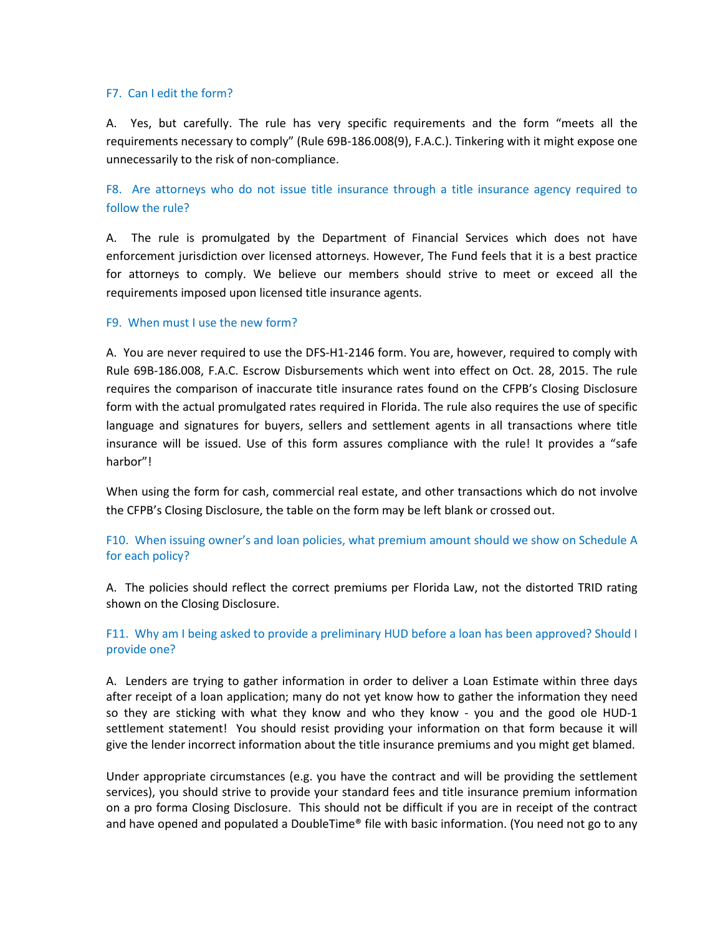#### <span id="page-24-0"></span>F7. Can I edit the form?

A. Yes, but carefully. The rule has very specific requirements and the form "meets all the requirements necessary to comply" (Rule 69B-186.008(9), F.A.C.). Tinkering with it might expose one unnecessarily to the risk of non-compliance.

<span id="page-24-1"></span>F8. Are attorneys who do not issue title insurance through a title insurance agency required to follow the rule?

A. The rule is promulgated by the Department of Financial Services which does not have enforcement jurisdiction over licensed attorneys. However, The Fund feels that it is a best practice for attorneys to comply. We believe our members should strive to meet or exceed all the requirements imposed upon licensed title insurance agents.

#### <span id="page-24-2"></span>F9. When must I use the new form?

A. You are never required to use the DFS-H1-2146 form. You are, however, required to comply with Rule 69B-186.008, F.A.C. Escrow Disbursements which went into effect on Oct. 28, 2015. The rule requires the comparison of inaccurate title insurance rates found on the CFPB's Closing Disclosure form with the actual promulgated rates required in Florida. The rule also requires the use of specific language and signatures for buyers, sellers and settlement agents in all transactions where title insurance will be issued. Use of this form assures compliance with the rule! It provides a "safe harbor"!

When using the form for cash, commercial real estate, and other transactions which do not involve the CFPB's Closing Disclosure, the table on the form may be left blank or crossed out.

### <span id="page-24-3"></span>F10. When issuing owner's and loan policies, what premium amount should we show on Schedule A for each policy?

A. The policies should reflect the correct premiums per Florida Law, not the distorted TRID rating shown on the Closing Disclosure.

### <span id="page-24-4"></span>F11. Why am I being asked to provide a preliminary HUD before a loan has been approved? Should I provide one?

A. Lenders are trying to gather information in order to deliver a Loan Estimate within three days after receipt of a loan application; many do not yet know how to gather the information they need so they are sticking with what they know and who they know - you and the good ole HUD-1 settlement statement! You should resist providing your information on that form because it will give the lender incorrect information about the title insurance premiums and you might get blamed.

Under appropriate circumstances (e.g. you have the contract and will be providing the settlement services), you should strive to provide your standard fees and title insurance premium information on a pro forma Closing Disclosure. This should not be difficult if you are in receipt of the contract and have opened and populated a DoubleTime® file with basic information. (You need not go to any